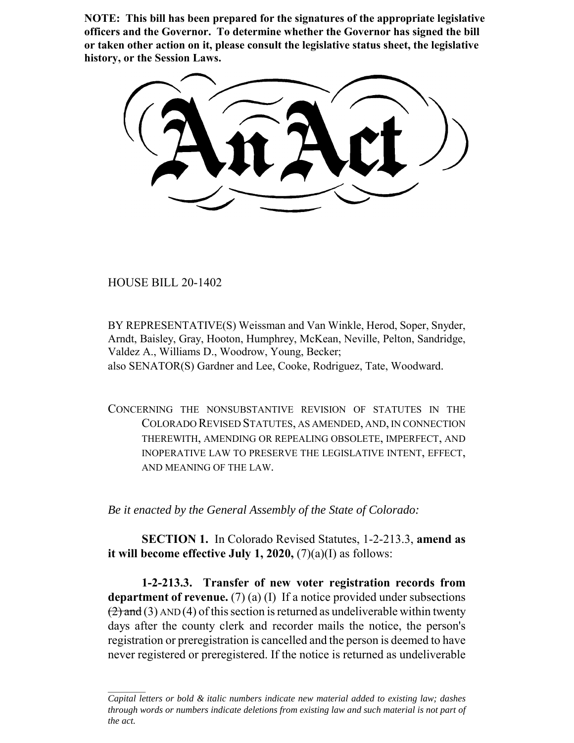**NOTE: This bill has been prepared for the signatures of the appropriate legislative officers and the Governor. To determine whether the Governor has signed the bill or taken other action on it, please consult the legislative status sheet, the legislative history, or the Session Laws.**

HOUSE BILL 20-1402

BY REPRESENTATIVE(S) Weissman and Van Winkle, Herod, Soper, Snyder, Arndt, Baisley, Gray, Hooton, Humphrey, McKean, Neville, Pelton, Sandridge, Valdez A., Williams D., Woodrow, Young, Becker; also SENATOR(S) Gardner and Lee, Cooke, Rodriguez, Tate, Woodward.

CONCERNING THE NONSUBSTANTIVE REVISION OF STATUTES IN THE COLORADO REVISED STATUTES, AS AMENDED, AND, IN CONNECTION THEREWITH, AMENDING OR REPEALING OBSOLETE, IMPERFECT, AND INOPERATIVE LAW TO PRESERVE THE LEGISLATIVE INTENT, EFFECT, AND MEANING OF THE LAW.

*Be it enacted by the General Assembly of the State of Colorado:*

**SECTION 1.** In Colorado Revised Statutes, 1-2-213.3, **amend as it will become effective July 1, 2020,** (7)(a)(I) as follows:

**1-2-213.3. Transfer of new voter registration records from department of revenue.** (7) (a) (I) If a notice provided under subsections  $(2)$  and (3) AND (4) of this section is returned as undeliverable within twenty days after the county clerk and recorder mails the notice, the person's registration or preregistration is cancelled and the person is deemed to have never registered or preregistered. If the notice is returned as undeliverable

*Capital letters or bold & italic numbers indicate new material added to existing law; dashes through words or numbers indicate deletions from existing law and such material is not part of the act.*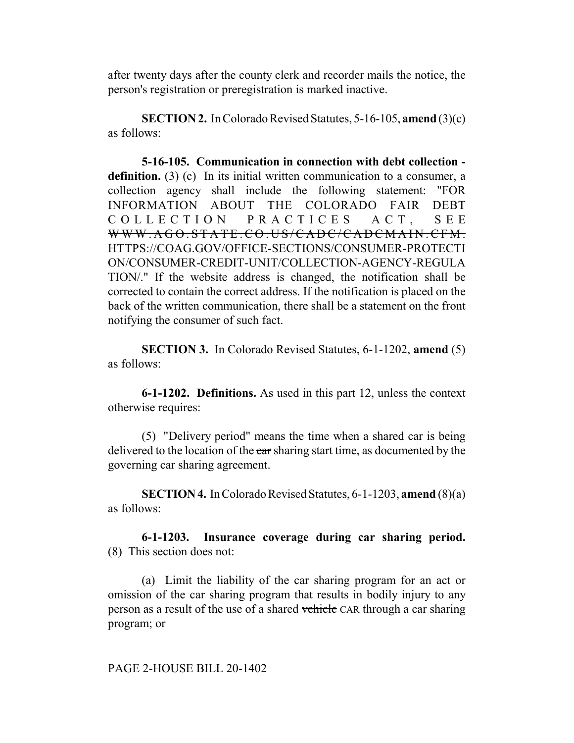after twenty days after the county clerk and recorder mails the notice, the person's registration or preregistration is marked inactive.

**SECTION 2.** In Colorado Revised Statutes, 5-16-105, **amend** (3)(c) as follows:

**5-16-105. Communication in connection with debt collection**  definition. (3) (c) In its initial written communication to a consumer, a collection agency shall include the following statement: "FOR INFORMATION ABOUT THE COLORADO FAIR DEBT COLLECTION PRACTICES ACT, SEE WWW.AGO.STATE.CO.US/CADC/CADCMAIN.CFM. HTTPS://COAG.GOV/OFFICE-SECTIONS/CONSUMER-PROTECTI ON/CONSUMER-CREDIT-UNIT/COLLECTION-AGENCY-REGULA TION/." If the website address is changed, the notification shall be corrected to contain the correct address. If the notification is placed on the back of the written communication, there shall be a statement on the front notifying the consumer of such fact.

**SECTION 3.** In Colorado Revised Statutes, 6-1-1202, **amend** (5) as follows:

**6-1-1202. Definitions.** As used in this part 12, unless the context otherwise requires:

(5) "Delivery period" means the time when a shared car is being delivered to the location of the car sharing start time, as documented by the governing car sharing agreement.

**SECTION 4.** In Colorado Revised Statutes, 6-1-1203, **amend** (8)(a) as follows:

**6-1-1203. Insurance coverage during car sharing period.** (8) This section does not:

(a) Limit the liability of the car sharing program for an act or omission of the car sharing program that results in bodily injury to any person as a result of the use of a shared vehicle CAR through a car sharing program; or

PAGE 2-HOUSE BILL 20-1402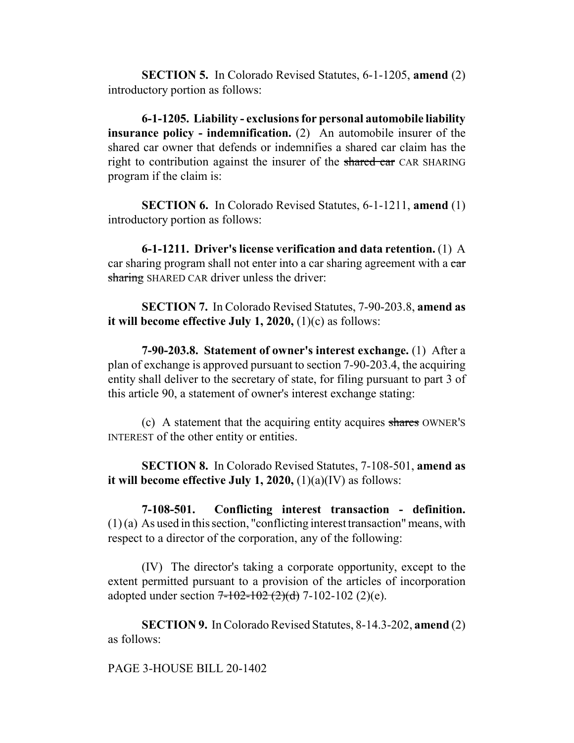**SECTION 5.** In Colorado Revised Statutes, 6-1-1205, **amend** (2) introductory portion as follows:

**6-1-1205. Liability - exclusions for personal automobile liability insurance policy - indemnification.** (2) An automobile insurer of the shared car owner that defends or indemnifies a shared car claim has the right to contribution against the insurer of the shared car CAR SHARING program if the claim is:

**SECTION 6.** In Colorado Revised Statutes, 6-1-1211, **amend** (1) introductory portion as follows:

**6-1-1211. Driver's license verification and data retention.** (1) A car sharing program shall not enter into a car sharing agreement with a car sharing SHARED CAR driver unless the driver:

**SECTION 7.** In Colorado Revised Statutes, 7-90-203.8, **amend as it will become effective July 1, 2020,** (1)(c) as follows:

**7-90-203.8. Statement of owner's interest exchange.** (1) After a plan of exchange is approved pursuant to section 7-90-203.4, the acquiring entity shall deliver to the secretary of state, for filing pursuant to part 3 of this article 90, a statement of owner's interest exchange stating:

(c) A statement that the acquiring entity acquires shares OWNER'S INTEREST of the other entity or entities.

**SECTION 8.** In Colorado Revised Statutes, 7-108-501, **amend as it will become effective July 1, 2020,** (1)(a)(IV) as follows:

**7-108-501. Conflicting interest transaction - definition.**  $(1)$  (a) As used in this section, "conflicting interest transaction" means, with respect to a director of the corporation, any of the following:

(IV) The director's taking a corporate opportunity, except to the extent permitted pursuant to a provision of the articles of incorporation adopted under section  $7 - 102 - 102$  (2)(d)  $7 - 102 - 102$  (2)(e).

**SECTION 9.** In Colorado Revised Statutes, 8-14.3-202, **amend** (2) as follows:

PAGE 3-HOUSE BILL 20-1402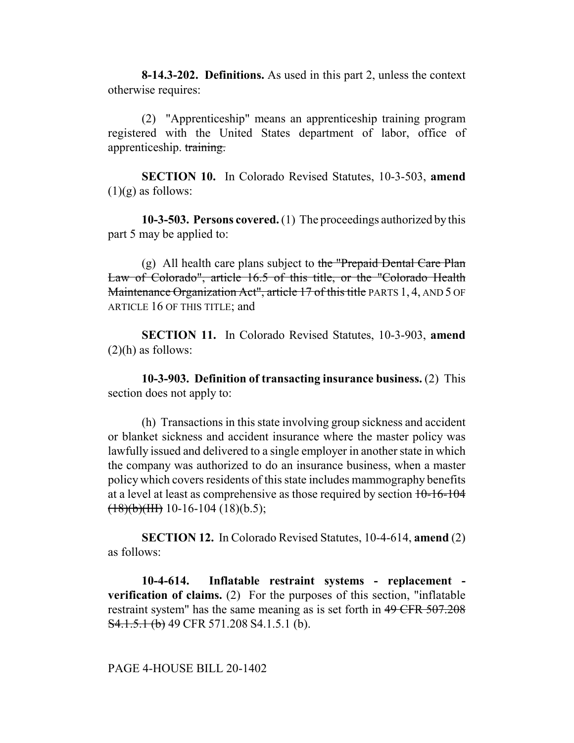**8-14.3-202. Definitions.** As used in this part 2, unless the context otherwise requires:

(2) "Apprenticeship" means an apprenticeship training program registered with the United States department of labor, office of apprenticeship. training.

**SECTION 10.** In Colorado Revised Statutes, 10-3-503, **amend**  $(1)(g)$  as follows:

**10-3-503. Persons covered.** (1) The proceedings authorized by this part 5 may be applied to:

(g) All health care plans subject to the "Prepaid Dental Care Plan" Law of Colorado", article 16.5 of this title, or the "Colorado Health Maintenance Organization Act", article 17 of this title PARTS 1, 4, AND 5 OF ARTICLE 16 OF THIS TITLE; and

**SECTION 11.** In Colorado Revised Statutes, 10-3-903, **amend**  $(2)(h)$  as follows:

**10-3-903. Definition of transacting insurance business.** (2) This section does not apply to:

(h) Transactions in this state involving group sickness and accident or blanket sickness and accident insurance where the master policy was lawfully issued and delivered to a single employer in another state in which the company was authorized to do an insurance business, when a master policy which covers residents of this state includes mammography benefits at a level at least as comprehensive as those required by section  $10-16-104$  $(18)(b)(\text{HH})$  10-16-104 (18)(b.5);

**SECTION 12.** In Colorado Revised Statutes, 10-4-614, **amend** (2) as follows:

**10-4-614. Inflatable restraint systems - replacement verification of claims.** (2) For the purposes of this section, "inflatable restraint system" has the same meaning as is set forth in 49 CFR 507.208 S4.1.5.1 (b) 49 CFR 571.208 S4.1.5.1 (b).

#### PAGE 4-HOUSE BILL 20-1402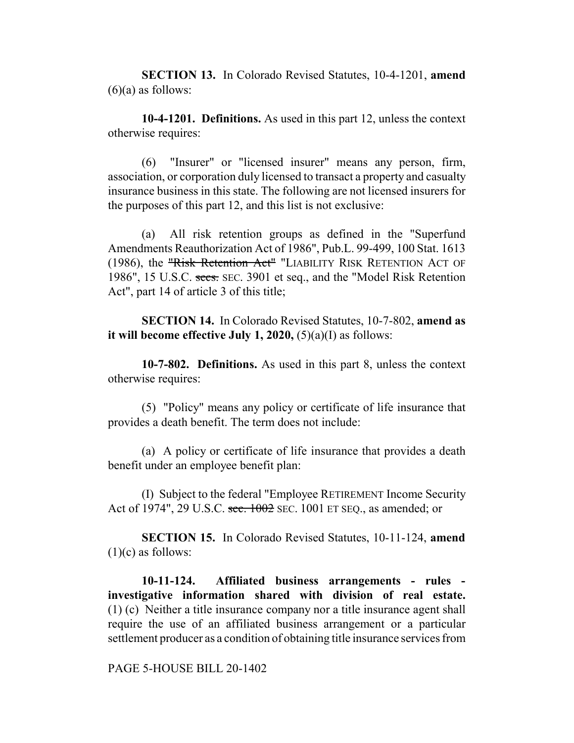**SECTION 13.** In Colorado Revised Statutes, 10-4-1201, **amend**  $(6)(a)$  as follows:

**10-4-1201. Definitions.** As used in this part 12, unless the context otherwise requires:

(6) "Insurer" or "licensed insurer" means any person, firm, association, or corporation duly licensed to transact a property and casualty insurance business in this state. The following are not licensed insurers for the purposes of this part 12, and this list is not exclusive:

(a) All risk retention groups as defined in the "Superfund Amendments Reauthorization Act of 1986", Pub.L. 99-499, 100 Stat. 1613 (1986), the "Risk Retention Act" "LIABILITY RISK RETENTION ACT OF 1986", 15 U.S.C. secs. SEC. 3901 et seq., and the "Model Risk Retention Act", part 14 of article 3 of this title;

**SECTION 14.** In Colorado Revised Statutes, 10-7-802, **amend as it will become effective July 1, 2020,** (5)(a)(I) as follows:

**10-7-802. Definitions.** As used in this part 8, unless the context otherwise requires:

(5) "Policy" means any policy or certificate of life insurance that provides a death benefit. The term does not include:

(a) A policy or certificate of life insurance that provides a death benefit under an employee benefit plan:

(I) Subject to the federal "Employee RETIREMENT Income Security Act of 1974", 29 U.S.C. sec. 1002 SEC. 1001 ET SEQ., as amended; or

**SECTION 15.** In Colorado Revised Statutes, 10-11-124, **amend**  $(1)(c)$  as follows:

**10-11-124. Affiliated business arrangements - rules investigative information shared with division of real estate.** (1) (c) Neither a title insurance company nor a title insurance agent shall require the use of an affiliated business arrangement or a particular settlement producer as a condition of obtaining title insurance services from

PAGE 5-HOUSE BILL 20-1402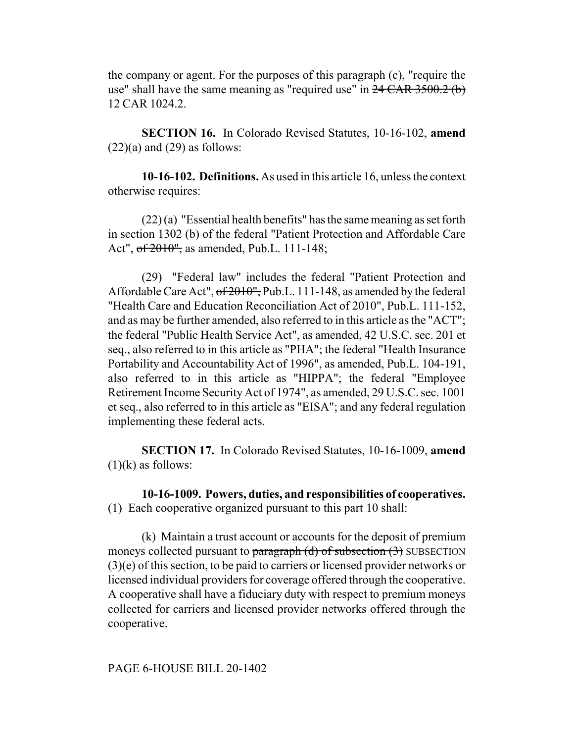the company or agent. For the purposes of this paragraph (c), "require the use" shall have the same meaning as "required use" in  $24$  CAR  $3500.2$  (b) 12 CAR 1024.2.

**SECTION 16.** In Colorado Revised Statutes, 10-16-102, **amend**  $(22)(a)$  and  $(29)$  as follows:

**10-16-102. Definitions.** As used in this article 16, unless the context otherwise requires:

(22) (a) "Essential health benefits" has the same meaning as set forth in section 1302 (b) of the federal "Patient Protection and Affordable Care Act", of 2010", as amended, Pub.L. 111-148;

(29) "Federal law" includes the federal "Patient Protection and Affordable Care Act", of 2010", Pub.L. 111-148, as amended by the federal "Health Care and Education Reconciliation Act of 2010", Pub.L. 111-152, and as may be further amended, also referred to in this article as the "ACT"; the federal "Public Health Service Act", as amended, 42 U.S.C. sec. 201 et seq., also referred to in this article as "PHA"; the federal "Health Insurance Portability and Accountability Act of 1996", as amended, Pub.L. 104-191, also referred to in this article as "HIPPA"; the federal "Employee Retirement Income Security Act of 1974", as amended, 29 U.S.C. sec. 1001 et seq., also referred to in this article as "EISA"; and any federal regulation implementing these federal acts.

**SECTION 17.** In Colorado Revised Statutes, 10-16-1009, **amend**  $(1)(k)$  as follows:

**10-16-1009. Powers, duties, and responsibilities of cooperatives.** (1) Each cooperative organized pursuant to this part 10 shall:

(k) Maintain a trust account or accounts for the deposit of premium moneys collected pursuant to paragraph  $(d)$  of subsection  $(3)$  SUBSECTION (3)(e) of this section, to be paid to carriers or licensed provider networks or licensed individual providers for coverage offered through the cooperative. A cooperative shall have a fiduciary duty with respect to premium moneys collected for carriers and licensed provider networks offered through the cooperative.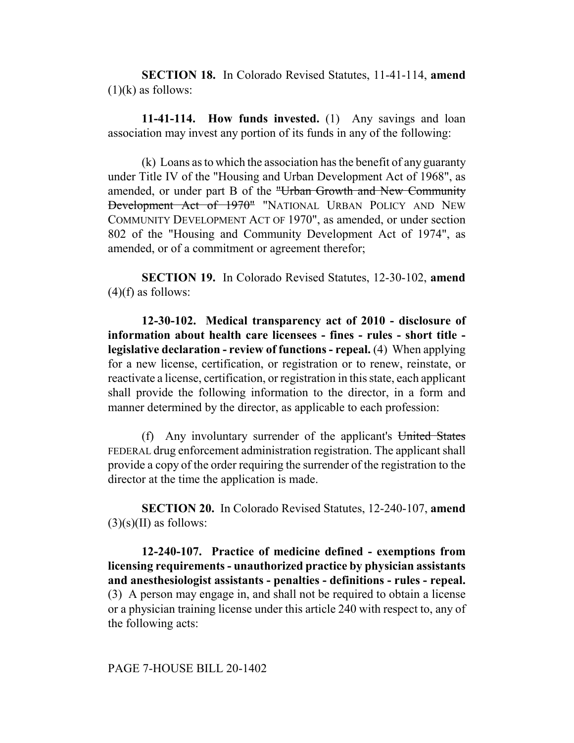**SECTION 18.** In Colorado Revised Statutes, 11-41-114, **amend**  $(1)(k)$  as follows:

**11-41-114. How funds invested.** (1) Any savings and loan association may invest any portion of its funds in any of the following:

(k) Loans as to which the association has the benefit of any guaranty under Title IV of the "Housing and Urban Development Act of 1968", as amended, or under part B of the "Urban Growth and New Community Development Act of 1970" "NATIONAL URBAN POLICY AND NEW COMMUNITY DEVELOPMENT ACT OF 1970", as amended, or under section 802 of the "Housing and Community Development Act of 1974", as amended, or of a commitment or agreement therefor;

**SECTION 19.** In Colorado Revised Statutes, 12-30-102, **amend**  $(4)$ (f) as follows:

**12-30-102. Medical transparency act of 2010 - disclosure of information about health care licensees - fines - rules - short title legislative declaration - review of functions - repeal.** (4) When applying for a new license, certification, or registration or to renew, reinstate, or reactivate a license, certification, or registration in this state, each applicant shall provide the following information to the director, in a form and manner determined by the director, as applicable to each profession:

(f) Any involuntary surrender of the applicant's United States FEDERAL drug enforcement administration registration. The applicant shall provide a copy of the order requiring the surrender of the registration to the director at the time the application is made.

**SECTION 20.** In Colorado Revised Statutes, 12-240-107, **amend**  $(3)(s)(II)$  as follows:

**12-240-107. Practice of medicine defined - exemptions from licensing requirements - unauthorized practice by physician assistants and anesthesiologist assistants - penalties - definitions - rules - repeal.** (3) A person may engage in, and shall not be required to obtain a license or a physician training license under this article 240 with respect to, any of the following acts: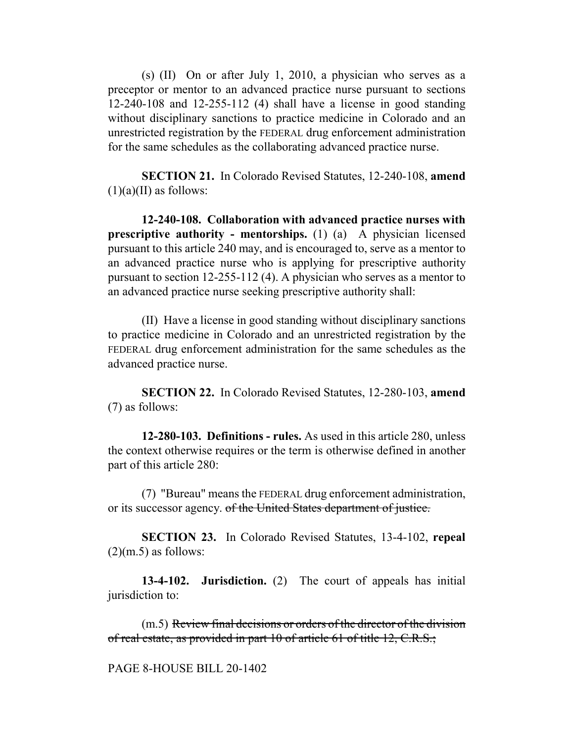(s) (II) On or after July 1, 2010, a physician who serves as a preceptor or mentor to an advanced practice nurse pursuant to sections 12-240-108 and 12-255-112 (4) shall have a license in good standing without disciplinary sanctions to practice medicine in Colorado and an unrestricted registration by the FEDERAL drug enforcement administration for the same schedules as the collaborating advanced practice nurse.

**SECTION 21.** In Colorado Revised Statutes, 12-240-108, **amend**  $(1)(a)(II)$  as follows:

**12-240-108. Collaboration with advanced practice nurses with prescriptive authority - mentorships.** (1) (a) A physician licensed pursuant to this article 240 may, and is encouraged to, serve as a mentor to an advanced practice nurse who is applying for prescriptive authority pursuant to section 12-255-112 (4). A physician who serves as a mentor to an advanced practice nurse seeking prescriptive authority shall:

(II) Have a license in good standing without disciplinary sanctions to practice medicine in Colorado and an unrestricted registration by the FEDERAL drug enforcement administration for the same schedules as the advanced practice nurse.

**SECTION 22.** In Colorado Revised Statutes, 12-280-103, **amend** (7) as follows:

**12-280-103. Definitions - rules.** As used in this article 280, unless the context otherwise requires or the term is otherwise defined in another part of this article 280:

(7) "Bureau" means the FEDERAL drug enforcement administration, or its successor agency. of the United States department of justice.

**SECTION 23.** In Colorado Revised Statutes, 13-4-102, **repeal**  $(2)(m.5)$  as follows:

**13-4-102. Jurisdiction.** (2) The court of appeals has initial jurisdiction to:

(m.5) Review final decisions or orders of the director of the division of real estate, as provided in part 10 of article 61 of title 12, C.R.S.;

PAGE 8-HOUSE BILL 20-1402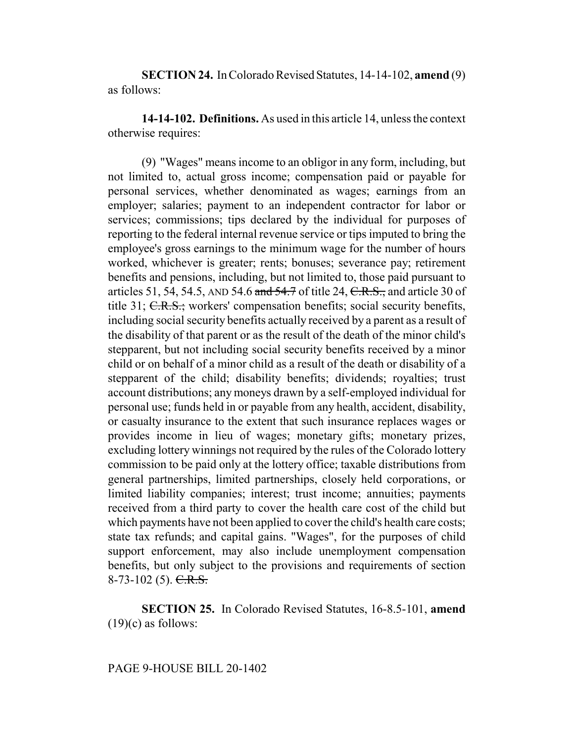**SECTION 24.** In Colorado Revised Statutes, 14-14-102, **amend** (9) as follows:

**14-14-102. Definitions.** As used in this article 14, unless the context otherwise requires:

(9) "Wages" means income to an obligor in any form, including, but not limited to, actual gross income; compensation paid or payable for personal services, whether denominated as wages; earnings from an employer; salaries; payment to an independent contractor for labor or services; commissions; tips declared by the individual for purposes of reporting to the federal internal revenue service or tips imputed to bring the employee's gross earnings to the minimum wage for the number of hours worked, whichever is greater; rents; bonuses; severance pay; retirement benefits and pensions, including, but not limited to, those paid pursuant to articles 51, 54, 54.5, AND 54.6 and  $\frac{54.7}{ }$  of title 24, C.R.S., and article 30 of title 31; C.R.S.; workers' compensation benefits; social security benefits, including social security benefits actually received by a parent as a result of the disability of that parent or as the result of the death of the minor child's stepparent, but not including social security benefits received by a minor child or on behalf of a minor child as a result of the death or disability of a stepparent of the child; disability benefits; dividends; royalties; trust account distributions; any moneys drawn by a self-employed individual for personal use; funds held in or payable from any health, accident, disability, or casualty insurance to the extent that such insurance replaces wages or provides income in lieu of wages; monetary gifts; monetary prizes, excluding lottery winnings not required by the rules of the Colorado lottery commission to be paid only at the lottery office; taxable distributions from general partnerships, limited partnerships, closely held corporations, or limited liability companies; interest; trust income; annuities; payments received from a third party to cover the health care cost of the child but which payments have not been applied to cover the child's health care costs; state tax refunds; and capital gains. "Wages", for the purposes of child support enforcement, may also include unemployment compensation benefits, but only subject to the provisions and requirements of section  $8-73-102$  (5). C.R.S.

**SECTION 25.** In Colorado Revised Statutes, 16-8.5-101, **amend**  $(19)(c)$  as follows: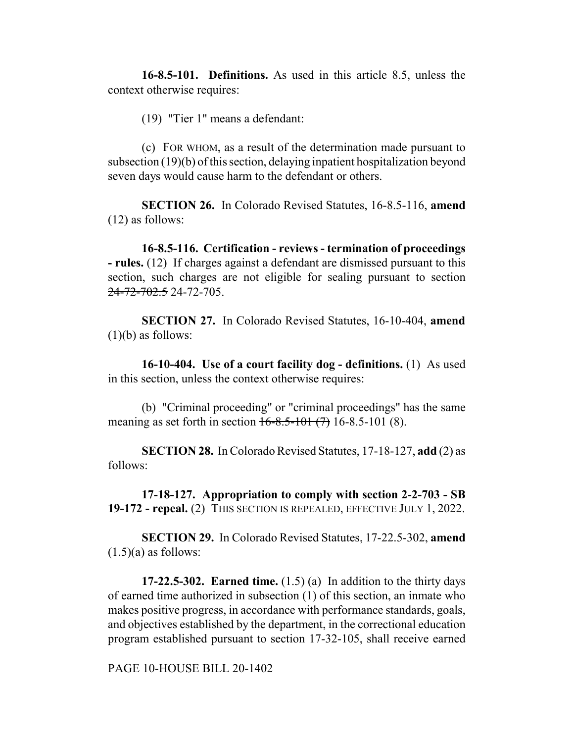**16-8.5-101. Definitions.** As used in this article 8.5, unless the context otherwise requires:

(19) "Tier 1" means a defendant:

(c) FOR WHOM, as a result of the determination made pursuant to subsection (19)(b) of this section, delaying inpatient hospitalization beyond seven days would cause harm to the defendant or others.

**SECTION 26.** In Colorado Revised Statutes, 16-8.5-116, **amend** (12) as follows:

**16-8.5-116. Certification - reviews - termination of proceedings - rules.** (12) If charges against a defendant are dismissed pursuant to this section, such charges are not eligible for sealing pursuant to section 24-72-702.5 24-72-705.

**SECTION 27.** In Colorado Revised Statutes, 16-10-404, **amend**  $(1)(b)$  as follows:

**16-10-404. Use of a court facility dog - definitions.** (1) As used in this section, unless the context otherwise requires:

(b) "Criminal proceeding" or "criminal proceedings" has the same meaning as set forth in section  $16-8.5-101$  (7) 16-8.5-101 (8).

**SECTION 28.** In Colorado Revised Statutes, 17-18-127, **add** (2) as follows:

**17-18-127. Appropriation to comply with section 2-2-703 - SB 19-172 - repeal.** (2) THIS SECTION IS REPEALED, EFFECTIVE JULY 1, 2022.

**SECTION 29.** In Colorado Revised Statutes, 17-22.5-302, **amend**  $(1.5)(a)$  as follows:

**17-22.5-302. Earned time.** (1.5) (a) In addition to the thirty days of earned time authorized in subsection (1) of this section, an inmate who makes positive progress, in accordance with performance standards, goals, and objectives established by the department, in the correctional education program established pursuant to section 17-32-105, shall receive earned

PAGE 10-HOUSE BILL 20-1402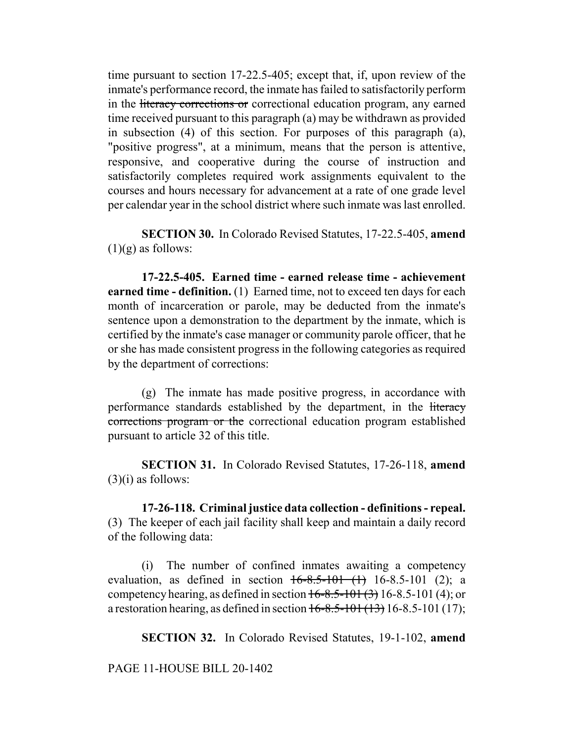time pursuant to section 17-22.5-405; except that, if, upon review of the inmate's performance record, the inmate has failed to satisfactorily perform in the literacy corrections or correctional education program, any earned time received pursuant to this paragraph (a) may be withdrawn as provided in subsection (4) of this section. For purposes of this paragraph (a), "positive progress", at a minimum, means that the person is attentive, responsive, and cooperative during the course of instruction and satisfactorily completes required work assignments equivalent to the courses and hours necessary for advancement at a rate of one grade level per calendar year in the school district where such inmate was last enrolled.

**SECTION 30.** In Colorado Revised Statutes, 17-22.5-405, **amend**  $(1)(g)$  as follows:

**17-22.5-405. Earned time - earned release time - achievement earned time - definition.** (1) Earned time, not to exceed ten days for each month of incarceration or parole, may be deducted from the inmate's sentence upon a demonstration to the department by the inmate, which is certified by the inmate's case manager or community parole officer, that he or she has made consistent progress in the following categories as required by the department of corrections:

(g) The inmate has made positive progress, in accordance with performance standards established by the department, in the literacy corrections program or the correctional education program established pursuant to article 32 of this title.

**SECTION 31.** In Colorado Revised Statutes, 17-26-118, **amend**  $(3)(i)$  as follows:

**17-26-118. Criminal justice data collection - definitions - repeal.** (3) The keeper of each jail facility shall keep and maintain a daily record of the following data:

(i) The number of confined inmates awaiting a competency evaluation, as defined in section  $16-8.5-101$  (1)  $16-8.5-101$  (2); a competency hearing, as defined in section  $16-8.5-101(3)$  16-8.5-101 (4); or a restoration hearing, as defined in section  $16-8.5-101(13)$  16-8.5-101 (17);

**SECTION 32.** In Colorado Revised Statutes, 19-1-102, **amend**

PAGE 11-HOUSE BILL 20-1402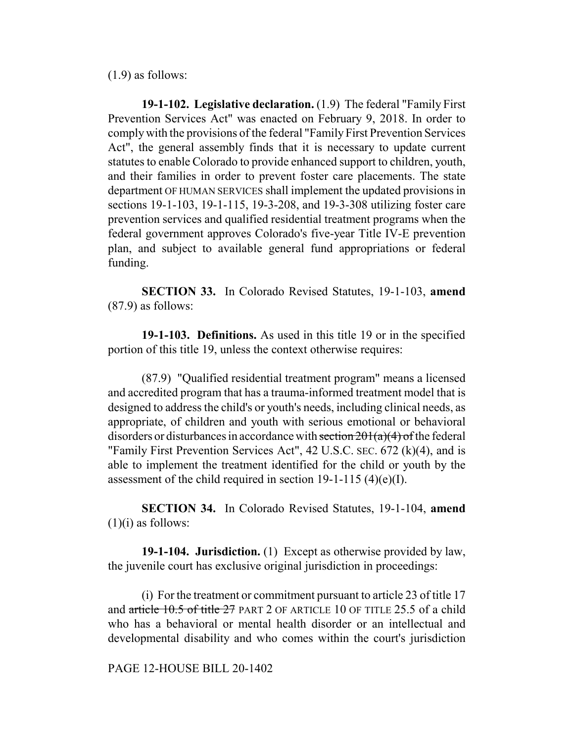(1.9) as follows:

**19-1-102. Legislative declaration.** (1.9) The federal "Family First Prevention Services Act" was enacted on February 9, 2018. In order to comply with the provisions of the federal "Family First Prevention Services Act", the general assembly finds that it is necessary to update current statutes to enable Colorado to provide enhanced support to children, youth, and their families in order to prevent foster care placements. The state department OF HUMAN SERVICES shall implement the updated provisions in sections 19-1-103, 19-1-115, 19-3-208, and 19-3-308 utilizing foster care prevention services and qualified residential treatment programs when the federal government approves Colorado's five-year Title IV-E prevention plan, and subject to available general fund appropriations or federal funding.

**SECTION 33.** In Colorado Revised Statutes, 19-1-103, **amend** (87.9) as follows:

**19-1-103. Definitions.** As used in this title 19 or in the specified portion of this title 19, unless the context otherwise requires:

(87.9) "Qualified residential treatment program" means a licensed and accredited program that has a trauma-informed treatment model that is designed to address the child's or youth's needs, including clinical needs, as appropriate, of children and youth with serious emotional or behavioral disorders or disturbances in accordance with section  $201(a)(4)$  of the federal "Family First Prevention Services Act", 42 U.S.C. SEC. 672 (k)(4), and is able to implement the treatment identified for the child or youth by the assessment of the child required in section 19-1-115 (4)(e)(I).

**SECTION 34.** In Colorado Revised Statutes, 19-1-104, **amend**  $(1)(i)$  as follows:

**19-1-104. Jurisdiction.** (1) Except as otherwise provided by law, the juvenile court has exclusive original jurisdiction in proceedings:

(i) For the treatment or commitment pursuant to article 23 of title 17 and article 10.5 of title 27 PART 2 OF ARTICLE 10 OF TITLE 25.5 of a child who has a behavioral or mental health disorder or an intellectual and developmental disability and who comes within the court's jurisdiction

### PAGE 12-HOUSE BILL 20-1402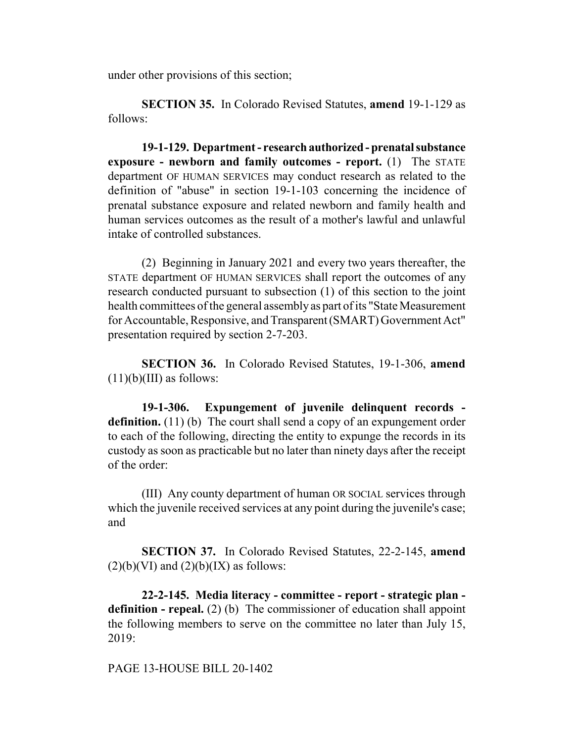under other provisions of this section;

**SECTION 35.** In Colorado Revised Statutes, **amend** 19-1-129 as follows:

**19-1-129. Department - research authorized - prenatal substance exposure - newborn and family outcomes - report.** (1) The STATE department OF HUMAN SERVICES may conduct research as related to the definition of "abuse" in section 19-1-103 concerning the incidence of prenatal substance exposure and related newborn and family health and human services outcomes as the result of a mother's lawful and unlawful intake of controlled substances.

(2) Beginning in January 2021 and every two years thereafter, the STATE department OF HUMAN SERVICES shall report the outcomes of any research conducted pursuant to subsection (1) of this section to the joint health committees of the general assembly as part of its "State Measurement for Accountable, Responsive, and Transparent (SMART) Government Act" presentation required by section 2-7-203.

**SECTION 36.** In Colorado Revised Statutes, 19-1-306, **amend**  $(11)(b)(III)$  as follows:

**19-1-306. Expungement of juvenile delinquent records**  definition. (11) (b) The court shall send a copy of an expungement order to each of the following, directing the entity to expunge the records in its custody as soon as practicable but no later than ninety days after the receipt of the order:

(III) Any county department of human OR SOCIAL services through which the juvenile received services at any point during the juvenile's case; and

**SECTION 37.** In Colorado Revised Statutes, 22-2-145, **amend**  $(2)(b)(VI)$  and  $(2)(b)(IX)$  as follows:

**22-2-145. Media literacy - committee - report - strategic plan definition - repeal.** (2) (b) The commissioner of education shall appoint the following members to serve on the committee no later than July 15, 2019:

PAGE 13-HOUSE BILL 20-1402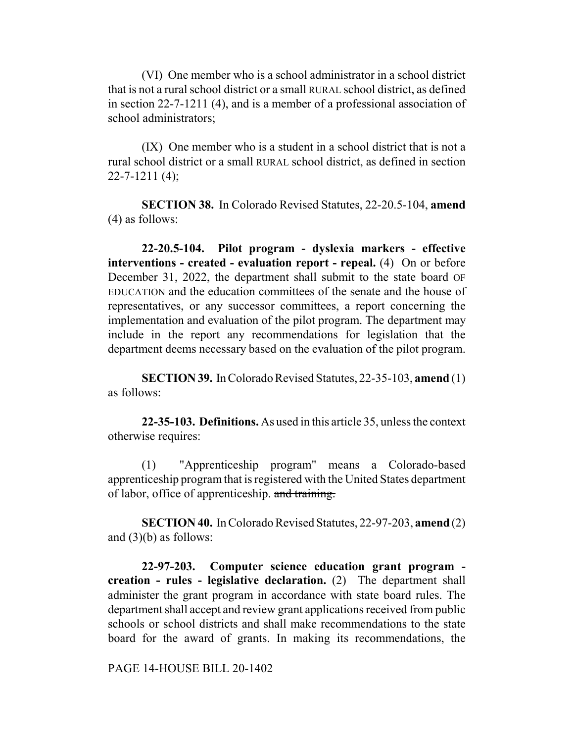(VI) One member who is a school administrator in a school district that is not a rural school district or a small RURAL school district, as defined in section 22-7-1211 (4), and is a member of a professional association of school administrators;

(IX) One member who is a student in a school district that is not a rural school district or a small RURAL school district, as defined in section  $22 - 7 - 1211(4)$ ;

**SECTION 38.** In Colorado Revised Statutes, 22-20.5-104, **amend** (4) as follows:

**22-20.5-104. Pilot program - dyslexia markers - effective interventions - created - evaluation report - repeal.** (4) On or before December 31, 2022, the department shall submit to the state board OF EDUCATION and the education committees of the senate and the house of representatives, or any successor committees, a report concerning the implementation and evaluation of the pilot program. The department may include in the report any recommendations for legislation that the department deems necessary based on the evaluation of the pilot program.

**SECTION 39.** In Colorado Revised Statutes, 22-35-103, **amend** (1) as follows:

**22-35-103. Definitions.** As used in this article 35, unless the context otherwise requires:

(1) "Apprenticeship program" means a Colorado-based apprenticeship program that is registered with the United States department of labor, office of apprenticeship. and training.

**SECTION 40.** In Colorado Revised Statutes, 22-97-203, **amend** (2) and  $(3)(b)$  as follows:

**22-97-203. Computer science education grant program creation - rules - legislative declaration.** (2) The department shall administer the grant program in accordance with state board rules. The department shall accept and review grant applications received from public schools or school districts and shall make recommendations to the state board for the award of grants. In making its recommendations, the

PAGE 14-HOUSE BILL 20-1402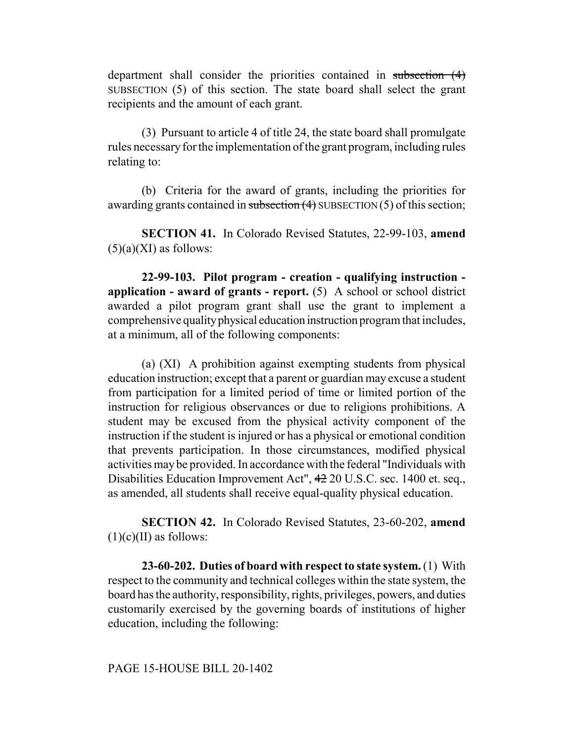department shall consider the priorities contained in subsection (4) SUBSECTION (5) of this section. The state board shall select the grant recipients and the amount of each grant.

(3) Pursuant to article 4 of title 24, the state board shall promulgate rules necessary for the implementation of the grant program, including rules relating to:

(b) Criteria for the award of grants, including the priorities for awarding grants contained in subsection  $(4)$  SUBSECTION  $(5)$  of this section;

**SECTION 41.** In Colorado Revised Statutes, 22-99-103, **amend**  $(5)(a)(XI)$  as follows:

**22-99-103. Pilot program - creation - qualifying instruction application - award of grants - report.** (5) A school or school district awarded a pilot program grant shall use the grant to implement a comprehensive quality physical education instruction program that includes, at a minimum, all of the following components:

(a) (XI) A prohibition against exempting students from physical education instruction; except that a parent or guardian may excuse a student from participation for a limited period of time or limited portion of the instruction for religious observances or due to religions prohibitions. A student may be excused from the physical activity component of the instruction if the student is injured or has a physical or emotional condition that prevents participation. In those circumstances, modified physical activities may be provided. In accordance with the federal "Individuals with Disabilities Education Improvement Act", 42 20 U.S.C. sec. 1400 et. seq., as amended, all students shall receive equal-quality physical education.

**SECTION 42.** In Colorado Revised Statutes, 23-60-202, **amend**  $(1)(c)(II)$  as follows:

**23-60-202. Duties of board with respect to state system.** (1) With respect to the community and technical colleges within the state system, the board has the authority, responsibility, rights, privileges, powers, and duties customarily exercised by the governing boards of institutions of higher education, including the following: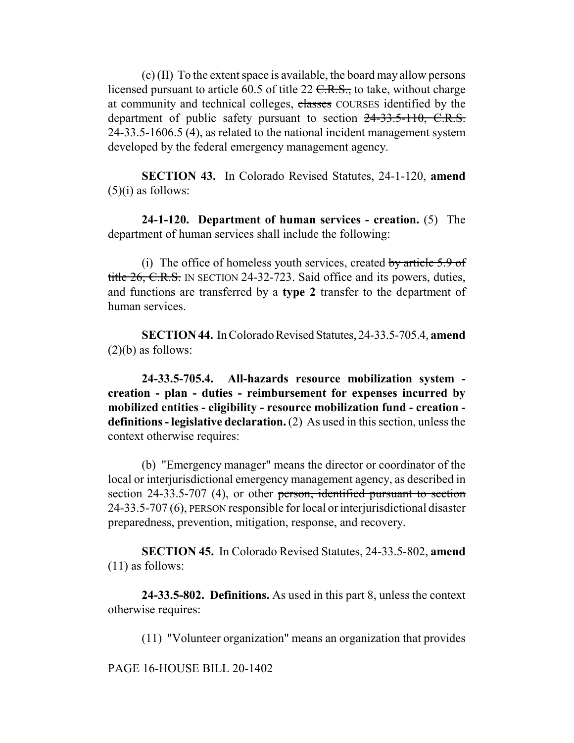(c) (II) To the extent space is available, the board may allow persons licensed pursuant to article 60.5 of title 22  $C.R.S.,$  to take, without charge at community and technical colleges, classes COURSES identified by the department of public safety pursuant to section 24-33.5-110, C.R.S. 24-33.5-1606.5 (4), as related to the national incident management system developed by the federal emergency management agency.

**SECTION 43.** In Colorado Revised Statutes, 24-1-120, **amend**  $(5)(i)$  as follows:

**24-1-120. Department of human services - creation.** (5) The department of human services shall include the following:

(i) The office of homeless youth services, created by article  $5.9$  of title 26, C.R.S. IN SECTION 24-32-723. Said office and its powers, duties, and functions are transferred by a **type 2** transfer to the department of human services.

**SECTION 44.** In Colorado Revised Statutes, 24-33.5-705.4, **amend**  $(2)(b)$  as follows:

**24-33.5-705.4. All-hazards resource mobilization system creation - plan - duties - reimbursement for expenses incurred by mobilized entities - eligibility - resource mobilization fund - creation definitions - legislative declaration.** (2) As used in this section, unless the context otherwise requires:

(b) "Emergency manager" means the director or coordinator of the local or interjurisdictional emergency management agency, as described in section 24-33.5-707 (4), or other person, identified pursuant to section 24-33.5-707 (6), PERSON responsible for local or interjurisdictional disaster preparedness, prevention, mitigation, response, and recovery.

**SECTION 45.** In Colorado Revised Statutes, 24-33.5-802, **amend** (11) as follows:

**24-33.5-802. Definitions.** As used in this part 8, unless the context otherwise requires:

(11) "Volunteer organization" means an organization that provides

PAGE 16-HOUSE BILL 20-1402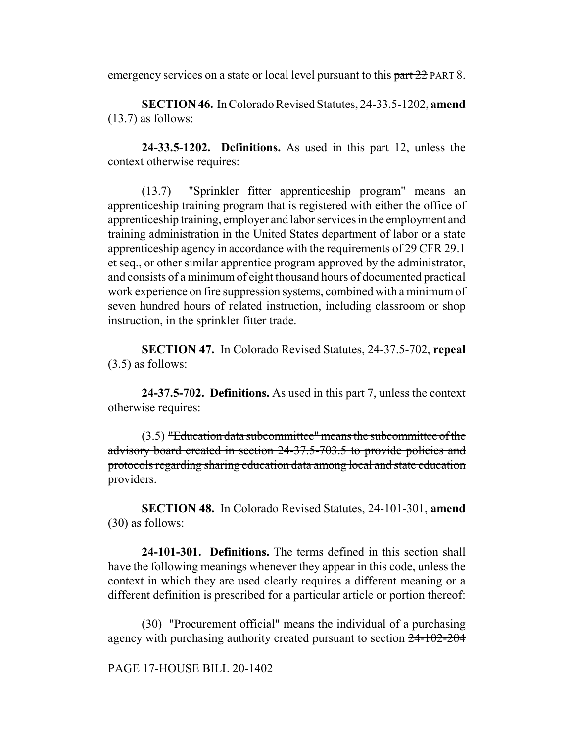emergency services on a state or local level pursuant to this part 22 PART 8.

**SECTION 46.** In Colorado Revised Statutes, 24-33.5-1202, **amend** (13.7) as follows:

**24-33.5-1202. Definitions.** As used in this part 12, unless the context otherwise requires:

(13.7) "Sprinkler fitter apprenticeship program" means an apprenticeship training program that is registered with either the office of apprenticeship training, employer and labor services in the employment and training administration in the United States department of labor or a state apprenticeship agency in accordance with the requirements of 29 CFR 29.1 et seq., or other similar apprentice program approved by the administrator, and consists of a minimum of eight thousand hours of documented practical work experience on fire suppression systems, combined with a minimum of seven hundred hours of related instruction, including classroom or shop instruction, in the sprinkler fitter trade.

**SECTION 47.** In Colorado Revised Statutes, 24-37.5-702, **repeal** (3.5) as follows:

**24-37.5-702. Definitions.** As used in this part 7, unless the context otherwise requires:

(3.5) "Education data subcommittee" means the subcommittee of the advisory board created in section 24-37.5-703.5 to provide policies and protocols regarding sharing education data among local and state education providers.

**SECTION 48.** In Colorado Revised Statutes, 24-101-301, **amend** (30) as follows:

**24-101-301. Definitions.** The terms defined in this section shall have the following meanings whenever they appear in this code, unless the context in which they are used clearly requires a different meaning or a different definition is prescribed for a particular article or portion thereof:

(30) "Procurement official" means the individual of a purchasing agency with purchasing authority created pursuant to section 24-102-204

PAGE 17-HOUSE BILL 20-1402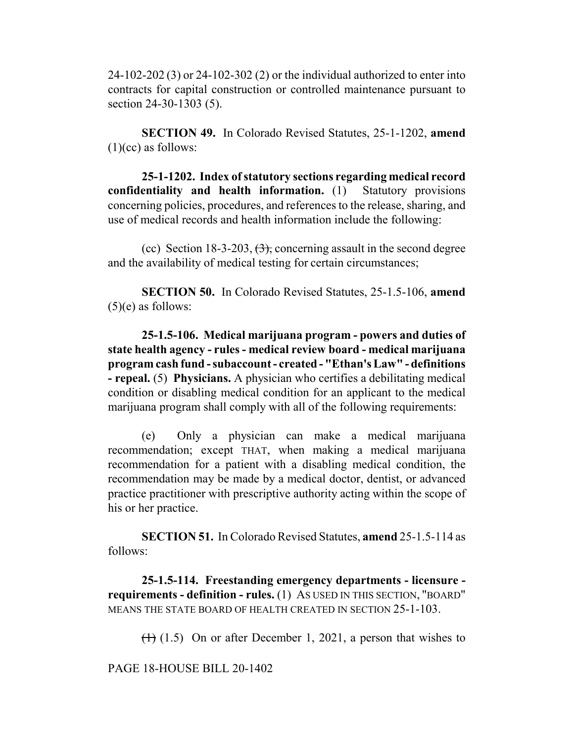24-102-202 (3) or 24-102-302 (2) or the individual authorized to enter into contracts for capital construction or controlled maintenance pursuant to section 24-30-1303 (5).

**SECTION 49.** In Colorado Revised Statutes, 25-1-1202, **amend**  $(1)(cc)$  as follows:

**25-1-1202. Index of statutory sections regarding medical record confidentiality and health information.** (1) Statutory provisions concerning policies, procedures, and references to the release, sharing, and use of medical records and health information include the following:

(cc) Section 18-3-203,  $(3)$ , concerning assault in the second degree and the availability of medical testing for certain circumstances;

**SECTION 50.** In Colorado Revised Statutes, 25-1.5-106, **amend**  $(5)(e)$  as follows:

**25-1.5-106. Medical marijuana program - powers and duties of state health agency - rules - medical review board - medical marijuana program cash fund - subaccount - created - "Ethan's Law" - definitions - repeal.** (5) **Physicians.** A physician who certifies a debilitating medical condition or disabling medical condition for an applicant to the medical marijuana program shall comply with all of the following requirements:

(e) Only a physician can make a medical marijuana recommendation; except THAT, when making a medical marijuana recommendation for a patient with a disabling medical condition, the recommendation may be made by a medical doctor, dentist, or advanced practice practitioner with prescriptive authority acting within the scope of his or her practice.

**SECTION 51.** In Colorado Revised Statutes, **amend** 25-1.5-114 as follows:

**25-1.5-114. Freestanding emergency departments - licensure requirements - definition - rules.** (1) AS USED IN THIS SECTION, "BOARD" MEANS THE STATE BOARD OF HEALTH CREATED IN SECTION 25-1-103.

 $(1)$  (1.5) On or after December 1, 2021, a person that wishes to

PAGE 18-HOUSE BILL 20-1402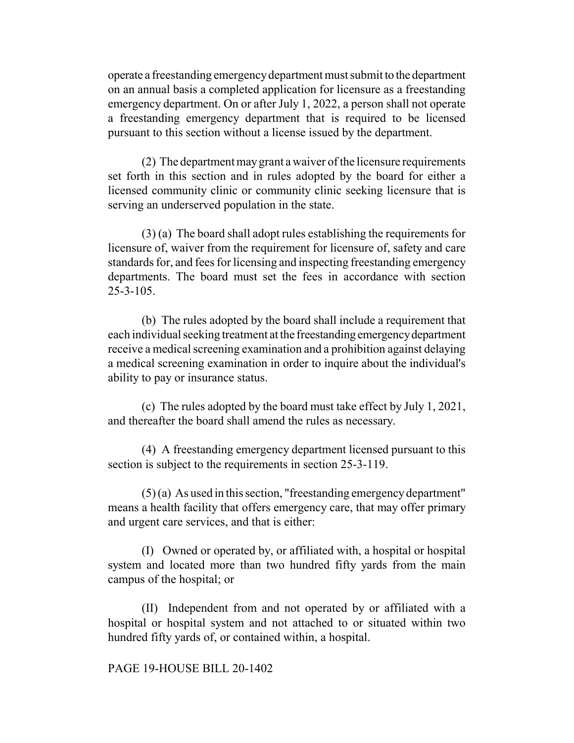operate a freestanding emergency department must submit to the department on an annual basis a completed application for licensure as a freestanding emergency department. On or after July 1, 2022, a person shall not operate a freestanding emergency department that is required to be licensed pursuant to this section without a license issued by the department.

(2) The department may grant a waiver of the licensure requirements set forth in this section and in rules adopted by the board for either a licensed community clinic or community clinic seeking licensure that is serving an underserved population in the state.

(3) (a) The board shall adopt rules establishing the requirements for licensure of, waiver from the requirement for licensure of, safety and care standards for, and fees for licensing and inspecting freestanding emergency departments. The board must set the fees in accordance with section  $25 - 3 - 105$ .

(b) The rules adopted by the board shall include a requirement that each individual seeking treatment at the freestanding emergency department receive a medical screening examination and a prohibition against delaying a medical screening examination in order to inquire about the individual's ability to pay or insurance status.

(c) The rules adopted by the board must take effect by July 1, 2021, and thereafter the board shall amend the rules as necessary.

(4) A freestanding emergency department licensed pursuant to this section is subject to the requirements in section 25-3-119.

(5) (a) As used in this section, "freestanding emergency department" means a health facility that offers emergency care, that may offer primary and urgent care services, and that is either:

(I) Owned or operated by, or affiliated with, a hospital or hospital system and located more than two hundred fifty yards from the main campus of the hospital; or

(II) Independent from and not operated by or affiliated with a hospital or hospital system and not attached to or situated within two hundred fifty yards of, or contained within, a hospital.

PAGE 19-HOUSE BILL 20-1402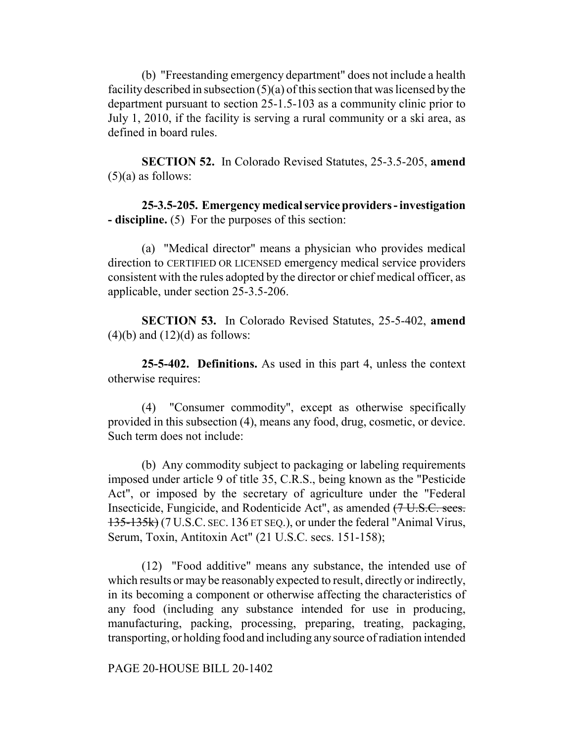(b) "Freestanding emergency department" does not include a health facility described in subsection (5)(a) of this section that was licensed by the department pursuant to section 25-1.5-103 as a community clinic prior to July 1, 2010, if the facility is serving a rural community or a ski area, as defined in board rules.

**SECTION 52.** In Colorado Revised Statutes, 25-3.5-205, **amend**  $(5)(a)$  as follows:

**25-3.5-205. Emergency medical service providers - investigation - discipline.** (5) For the purposes of this section:

(a) "Medical director" means a physician who provides medical direction to CERTIFIED OR LICENSED emergency medical service providers consistent with the rules adopted by the director or chief medical officer, as applicable, under section 25-3.5-206.

**SECTION 53.** In Colorado Revised Statutes, 25-5-402, **amend**  $(4)(b)$  and  $(12)(d)$  as follows:

**25-5-402. Definitions.** As used in this part 4, unless the context otherwise requires:

(4) "Consumer commodity", except as otherwise specifically provided in this subsection (4), means any food, drug, cosmetic, or device. Such term does not include:

(b) Any commodity subject to packaging or labeling requirements imposed under article 9 of title 35, C.R.S., being known as the "Pesticide Act", or imposed by the secretary of agriculture under the "Federal Insecticide, Fungicide, and Rodenticide Act", as amended (7 U.S.C. secs. 135-135k) (7 U.S.C. SEC. 136 ET SEQ.), or under the federal "Animal Virus, Serum, Toxin, Antitoxin Act" (21 U.S.C. secs. 151-158);

(12) "Food additive" means any substance, the intended use of which results or may be reasonably expected to result, directly or indirectly, in its becoming a component or otherwise affecting the characteristics of any food (including any substance intended for use in producing, manufacturing, packing, processing, preparing, treating, packaging, transporting, or holding food and including any source of radiation intended

PAGE 20-HOUSE BILL 20-1402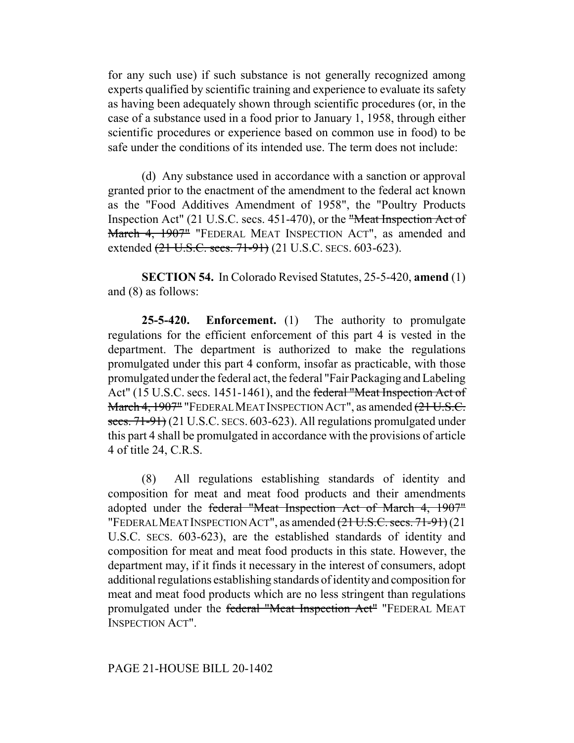for any such use) if such substance is not generally recognized among experts qualified by scientific training and experience to evaluate its safety as having been adequately shown through scientific procedures (or, in the case of a substance used in a food prior to January 1, 1958, through either scientific procedures or experience based on common use in food) to be safe under the conditions of its intended use. The term does not include:

(d) Any substance used in accordance with a sanction or approval granted prior to the enactment of the amendment to the federal act known as the "Food Additives Amendment of 1958", the "Poultry Products Inspection Act" (21 U.S.C. secs. 451-470), or the "Meat Inspection Act of March 4, 1907" "FEDERAL MEAT INSPECTION ACT", as amended and extended (21 U.S.C. secs. 71-91) (21 U.S.C. SECS. 603-623).

**SECTION 54.** In Colorado Revised Statutes, 25-5-420, **amend** (1) and (8) as follows:

**25-5-420. Enforcement.** (1) The authority to promulgate regulations for the efficient enforcement of this part 4 is vested in the department. The department is authorized to make the regulations promulgated under this part 4 conform, insofar as practicable, with those promulgated under the federal act, the federal "Fair Packaging and Labeling Act" (15 U.S.C. secs. 1451-1461), and the federal "Meat Inspection Act of March 4, 1907" "FEDERAL MEAT INSPECTION ACT", as amended  $(21 \text{ U.S.C.})$ secs. 71-91) (21 U.S.C. SECS. 603-623). All regulations promulgated under this part 4 shall be promulgated in accordance with the provisions of article 4 of title 24, C.R.S.

(8) All regulations establishing standards of identity and composition for meat and meat food products and their amendments adopted under the federal "Meat Inspection Act of March 4, 1907" "FEDERAL MEAT INSPECTION ACT", as amended (21 U.S.C. secs. 71-91) (21 U.S.C. SECS. 603-623), are the established standards of identity and composition for meat and meat food products in this state. However, the department may, if it finds it necessary in the interest of consumers, adopt additional regulations establishing standards of identity and composition for meat and meat food products which are no less stringent than regulations promulgated under the federal "Meat Inspection Act" "FEDERAL MEAT INSPECTION ACT".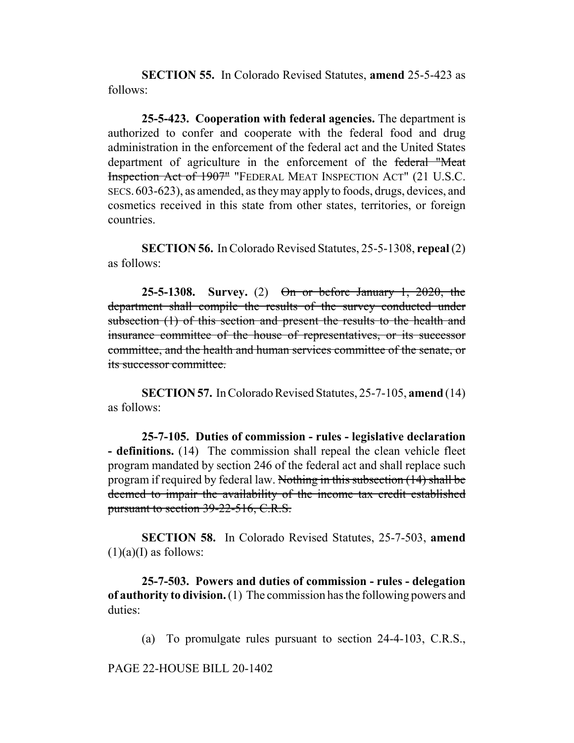**SECTION 55.** In Colorado Revised Statutes, **amend** 25-5-423 as follows:

**25-5-423. Cooperation with federal agencies.** The department is authorized to confer and cooperate with the federal food and drug administration in the enforcement of the federal act and the United States department of agriculture in the enforcement of the federal "Meat Inspection Act of 1907" "FEDERAL MEAT INSPECTION ACT" (21 U.S.C. SECS.603-623), as amended, as they may apply to foods, drugs, devices, and cosmetics received in this state from other states, territories, or foreign countries.

**SECTION 56.** In Colorado Revised Statutes, 25-5-1308, **repeal** (2) as follows:

**25-5-1308. Survey.** (2) On or before January 1, 2020, the department shall compile the results of the survey conducted under subsection (1) of this section and present the results to the health and insurance committee of the house of representatives, or its successor committee, and the health and human services committee of the senate, or its successor committee.

**SECTION 57.** In Colorado Revised Statutes, 25-7-105, **amend** (14) as follows:

**25-7-105. Duties of commission - rules - legislative declaration - definitions.** (14) The commission shall repeal the clean vehicle fleet program mandated by section 246 of the federal act and shall replace such program if required by federal law. Nothing in this subsection (14) shall be deemed to impair the availability of the income tax credit established pursuant to section 39-22-516, C.R.S.

**SECTION 58.** In Colorado Revised Statutes, 25-7-503, **amend**  $(1)(a)(I)$  as follows:

**25-7-503. Powers and duties of commission - rules - delegation of authority to division.** (1) The commission has the following powers and duties:

(a) To promulgate rules pursuant to section 24-4-103, C.R.S.,

PAGE 22-HOUSE BILL 20-1402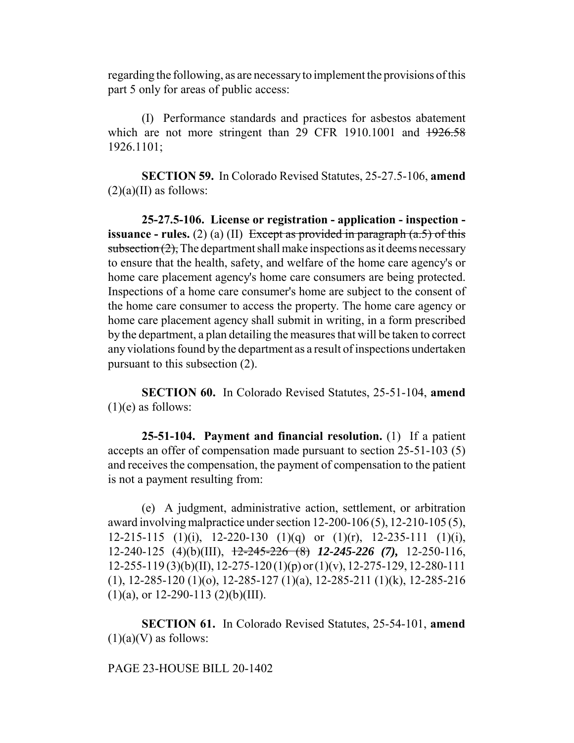regarding the following, as are necessary to implement the provisions of this part 5 only for areas of public access:

(I) Performance standards and practices for asbestos abatement which are not more stringent than 29 CFR 1910.1001 and  $1926.58$ 1926.1101;

**SECTION 59.** In Colorado Revised Statutes, 25-27.5-106, **amend**  $(2)(a)(II)$  as follows:

**25-27.5-106. License or registration - application - inspection issuance - rules.** (2) (a) (II) Except as provided in paragraph  $(a.5)$  of this subsection  $(2)$ , The department shall make inspections as it deems necessary to ensure that the health, safety, and welfare of the home care agency's or home care placement agency's home care consumers are being protected. Inspections of a home care consumer's home are subject to the consent of the home care consumer to access the property. The home care agency or home care placement agency shall submit in writing, in a form prescribed by the department, a plan detailing the measures that will be taken to correct any violations found by the department as a result of inspections undertaken pursuant to this subsection (2).

**SECTION 60.** In Colorado Revised Statutes, 25-51-104, **amend**  $(1)(e)$  as follows:

**25-51-104. Payment and financial resolution.** (1) If a patient accepts an offer of compensation made pursuant to section 25-51-103 (5) and receives the compensation, the payment of compensation to the patient is not a payment resulting from:

(e) A judgment, administrative action, settlement, or arbitration award involving malpractice under section 12-200-106 (5), 12-210-105 (5), 12-215-115 (1)(i), 12-220-130 (1)(q) or (1)(r), 12-235-111 (1)(i), 12-240-125 (4)(b)(III), 12-245-226 (8) *12-245-226 (7),* 12-250-116, 12-255-119 (3)(b)(II), 12-275-120 (1)(p) or (1)(v), 12-275-129, 12-280-111 (1), 12-285-120 (1)(o), 12-285-127 (1)(a), 12-285-211 (1)(k), 12-285-216  $(1)(a)$ , or 12-290-113  $(2)(b)(III)$ .

**SECTION 61.** In Colorado Revised Statutes, 25-54-101, **amend**  $(1)(a)(V)$  as follows:

#### PAGE 23-HOUSE BILL 20-1402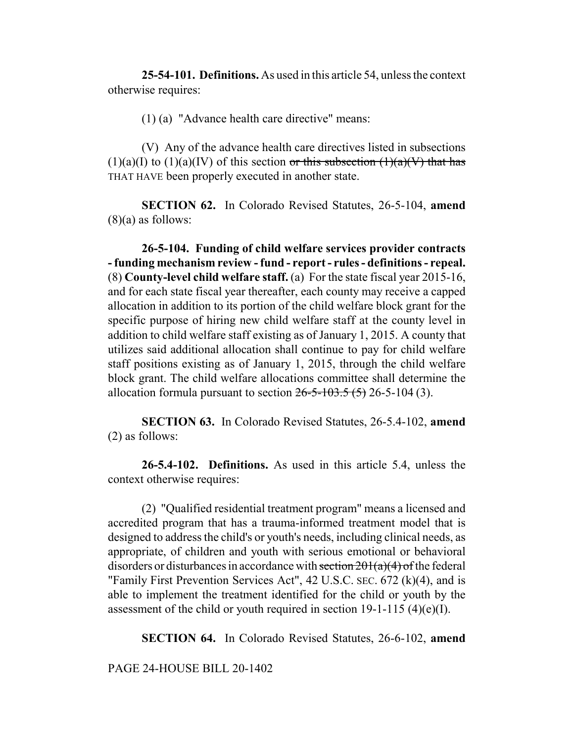**25-54-101. Definitions.** As used in this article 54, unless the context otherwise requires:

(1) (a) "Advance health care directive" means:

(V) Any of the advance health care directives listed in subsections  $(1)(a)(I)$  to  $(1)(a)(IV)$  of this section or this subsection  $(1)(a)(V)$  that has THAT HAVE been properly executed in another state.

**SECTION 62.** In Colorado Revised Statutes, 26-5-104, **amend**  $(8)(a)$  as follows:

**26-5-104. Funding of child welfare services provider contracts - funding mechanism review - fund - report - rules - definitions - repeal.** (8) **County-level child welfare staff.** (a) For the state fiscal year 2015-16, and for each state fiscal year thereafter, each county may receive a capped allocation in addition to its portion of the child welfare block grant for the specific purpose of hiring new child welfare staff at the county level in addition to child welfare staff existing as of January 1, 2015. A county that utilizes said additional allocation shall continue to pay for child welfare staff positions existing as of January 1, 2015, through the child welfare block grant. The child welfare allocations committee shall determine the allocation formula pursuant to section  $26 - 5 - 103.5$  (5) 26-5-104 (3).

**SECTION 63.** In Colorado Revised Statutes, 26-5.4-102, **amend** (2) as follows:

**26-5.4-102. Definitions.** As used in this article 5.4, unless the context otherwise requires:

(2) "Qualified residential treatment program" means a licensed and accredited program that has a trauma-informed treatment model that is designed to address the child's or youth's needs, including clinical needs, as appropriate, of children and youth with serious emotional or behavioral disorders or disturbances in accordance with section  $201(a)(4)$  of the federal "Family First Prevention Services Act", 42 U.S.C. SEC. 672 (k)(4), and is able to implement the treatment identified for the child or youth by the assessment of the child or youth required in section  $19-1-115$  (4)(e)(I).

**SECTION 64.** In Colorado Revised Statutes, 26-6-102, **amend**

PAGE 24-HOUSE BILL 20-1402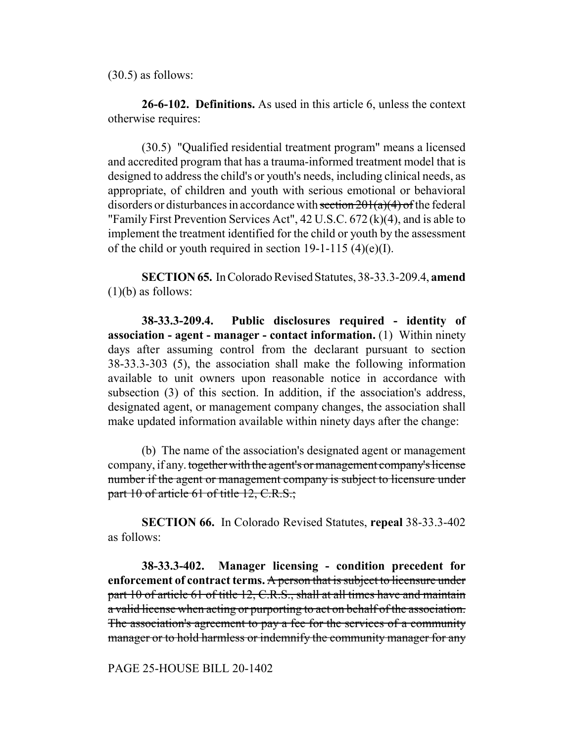(30.5) as follows:

**26-6-102. Definitions.** As used in this article 6, unless the context otherwise requires:

(30.5) "Qualified residential treatment program" means a licensed and accredited program that has a trauma-informed treatment model that is designed to address the child's or youth's needs, including clinical needs, as appropriate, of children and youth with serious emotional or behavioral disorders or disturbances in accordance with section  $201(a)(4)$  of the federal "Family First Prevention Services Act", 42 U.S.C. 672 (k)(4), and is able to implement the treatment identified for the child or youth by the assessment of the child or youth required in section  $19-1-115$  (4)(e)(I).

**SECTION 65.** In Colorado Revised Statutes, 38-33.3-209.4, **amend**  $(1)(b)$  as follows:

**38-33.3-209.4. Public disclosures required - identity of association - agent - manager - contact information.** (1) Within ninety days after assuming control from the declarant pursuant to section 38-33.3-303 (5), the association shall make the following information available to unit owners upon reasonable notice in accordance with subsection (3) of this section. In addition, if the association's address, designated agent, or management company changes, the association shall make updated information available within ninety days after the change:

(b) The name of the association's designated agent or management company, if any. together with the agent's or management company's license number if the agent or management company is subject to licensure under part 10 of article 61 of title  $12, C.R.S.;$ 

**SECTION 66.** In Colorado Revised Statutes, **repeal** 38-33.3-402 as follows:

**38-33.3-402. Manager licensing - condition precedent for enforcement of contract terms.** A person that is subject to licensure under part 10 of article 61 of title 12, C.R.S., shall at all times have and maintain a valid license when acting or purporting to act on behalf of the association. The association's agreement to pay a fee for the services of a community manager or to hold harmless or indemnify the community manager for any

PAGE 25-HOUSE BILL 20-1402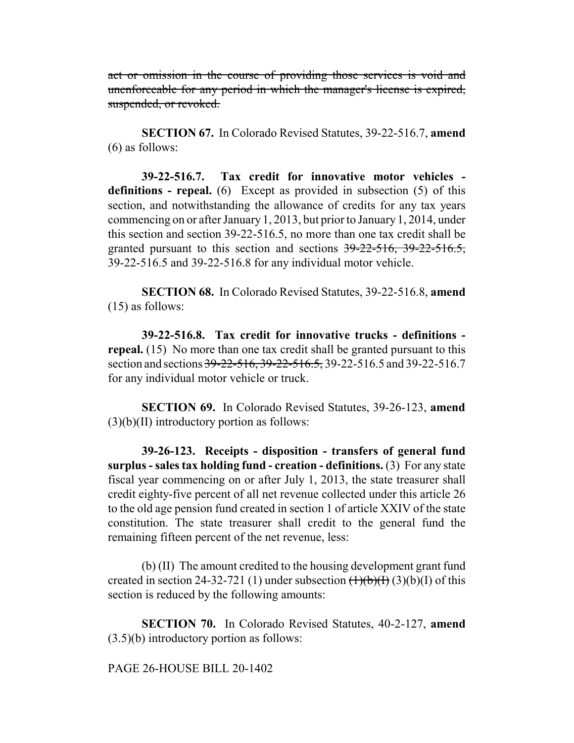act or omission in the course of providing those services is void and unenforceable for any period in which the manager's license is expired, suspended, or revoked.

**SECTION 67.** In Colorado Revised Statutes, 39-22-516.7, **amend** (6) as follows:

**39-22-516.7. Tax credit for innovative motor vehicles definitions - repeal.** (6) Except as provided in subsection (5) of this section, and notwithstanding the allowance of credits for any tax years commencing on or after January 1, 2013, but prior to January 1, 2014, under this section and section 39-22-516.5, no more than one tax credit shall be granted pursuant to this section and sections 39-22-516, 39-22-516.5, 39-22-516.5 and 39-22-516.8 for any individual motor vehicle.

**SECTION 68.** In Colorado Revised Statutes, 39-22-516.8, **amend** (15) as follows:

**39-22-516.8. Tax credit for innovative trucks - definitions repeal.** (15) No more than one tax credit shall be granted pursuant to this section and sections 39-22-516, 39-22-516.5, 39-22-516.5 and 39-22-516.7 for any individual motor vehicle or truck.

**SECTION 69.** In Colorado Revised Statutes, 39-26-123, **amend** (3)(b)(II) introductory portion as follows:

**39-26-123. Receipts - disposition - transfers of general fund surplus - sales tax holding fund - creation - definitions.** (3) For any state fiscal year commencing on or after July 1, 2013, the state treasurer shall credit eighty-five percent of all net revenue collected under this article 26 to the old age pension fund created in section 1 of article XXIV of the state constitution. The state treasurer shall credit to the general fund the remaining fifteen percent of the net revenue, less:

(b) (II) The amount credited to the housing development grant fund created in section 24-32-721 (1) under subsection  $\left(\frac{1}{b}\right)\left(\frac{1}{b}\right)$  (3)(b)(I) of this section is reduced by the following amounts:

**SECTION 70.** In Colorado Revised Statutes, 40-2-127, **amend** (3.5)(b) introductory portion as follows:

PAGE 26-HOUSE BILL 20-1402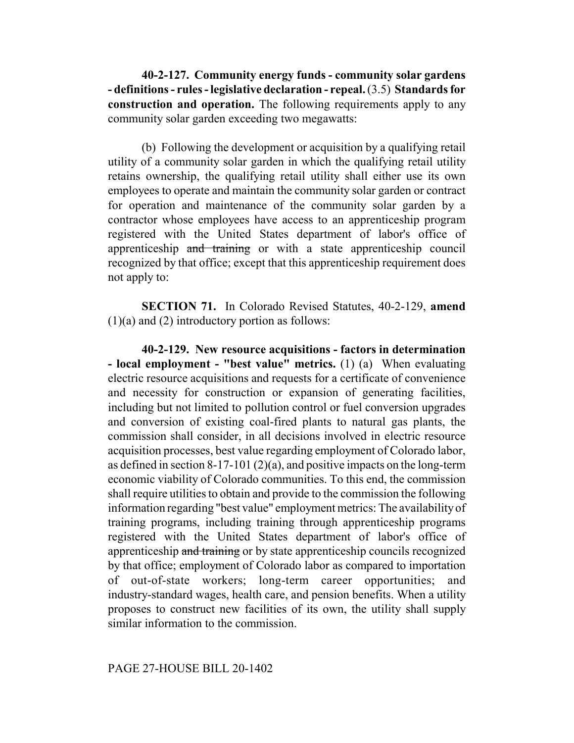**40-2-127. Community energy funds - community solar gardens - definitions - rules - legislative declaration - repeal.** (3.5) **Standards for construction and operation.** The following requirements apply to any community solar garden exceeding two megawatts:

(b) Following the development or acquisition by a qualifying retail utility of a community solar garden in which the qualifying retail utility retains ownership, the qualifying retail utility shall either use its own employees to operate and maintain the community solar garden or contract for operation and maintenance of the community solar garden by a contractor whose employees have access to an apprenticeship program registered with the United States department of labor's office of apprenticeship and training or with a state apprenticeship council recognized by that office; except that this apprenticeship requirement does not apply to:

**SECTION 71.** In Colorado Revised Statutes, 40-2-129, **amend**  $(1)(a)$  and  $(2)$  introductory portion as follows:

**40-2-129. New resource acquisitions - factors in determination - local employment - "best value" metrics.** (1) (a) When evaluating electric resource acquisitions and requests for a certificate of convenience and necessity for construction or expansion of generating facilities, including but not limited to pollution control or fuel conversion upgrades and conversion of existing coal-fired plants to natural gas plants, the commission shall consider, in all decisions involved in electric resource acquisition processes, best value regarding employment of Colorado labor, as defined in section 8-17-101 (2)(a), and positive impacts on the long-term economic viability of Colorado communities. To this end, the commission shall require utilities to obtain and provide to the commission the following information regarding "best value" employment metrics: The availability of training programs, including training through apprenticeship programs registered with the United States department of labor's office of apprenticeship and training or by state apprenticeship councils recognized by that office; employment of Colorado labor as compared to importation of out-of-state workers; long-term career opportunities; and industry-standard wages, health care, and pension benefits. When a utility proposes to construct new facilities of its own, the utility shall supply similar information to the commission.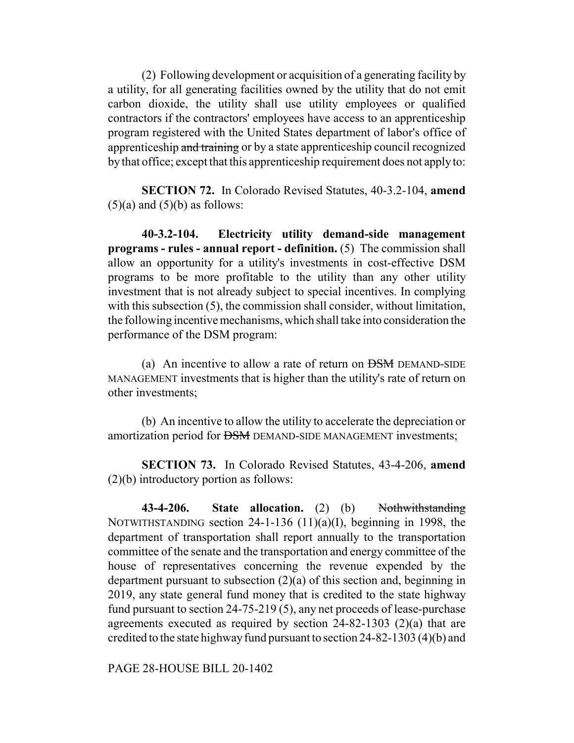(2) Following development or acquisition of a generating facility by a utility, for all generating facilities owned by the utility that do not emit carbon dioxide, the utility shall use utility employees or qualified contractors if the contractors' employees have access to an apprenticeship program registered with the United States department of labor's office of apprenticeship and training or by a state apprenticeship council recognized by that office; except that this apprenticeship requirement does not apply to:

**SECTION 72.** In Colorado Revised Statutes, 40-3.2-104, **amend**  $(5)(a)$  and  $(5)(b)$  as follows:

**40-3.2-104. Electricity utility demand-side management programs - rules - annual report - definition.** (5) The commission shall allow an opportunity for a utility's investments in cost-effective DSM programs to be more profitable to the utility than any other utility investment that is not already subject to special incentives. In complying with this subsection (5), the commission shall consider, without limitation, the following incentive mechanisms, which shall take into consideration the performance of the DSM program:

(a) An incentive to allow a rate of return on  $\overline{DSM}$  DEMAND-SIDE MANAGEMENT investments that is higher than the utility's rate of return on other investments;

(b) An incentive to allow the utility to accelerate the depreciation or amortization period for DSM DEMAND-SIDE MANAGEMENT investments;

**SECTION 73.** In Colorado Revised Statutes, 43-4-206, **amend** (2)(b) introductory portion as follows:

**43-4-206. State allocation.** (2) (b) Nothwithstanding NOTWITHSTANDING section  $24$ -1-136 (11)(a)(I), beginning in 1998, the department of transportation shall report annually to the transportation committee of the senate and the transportation and energy committee of the house of representatives concerning the revenue expended by the department pursuant to subsection (2)(a) of this section and, beginning in 2019, any state general fund money that is credited to the state highway fund pursuant to section 24-75-219 (5), any net proceeds of lease-purchase agreements executed as required by section 24-82-1303 (2)(a) that are credited to the state highway fund pursuant to section 24-82-1303 (4)(b) and

PAGE 28-HOUSE BILL 20-1402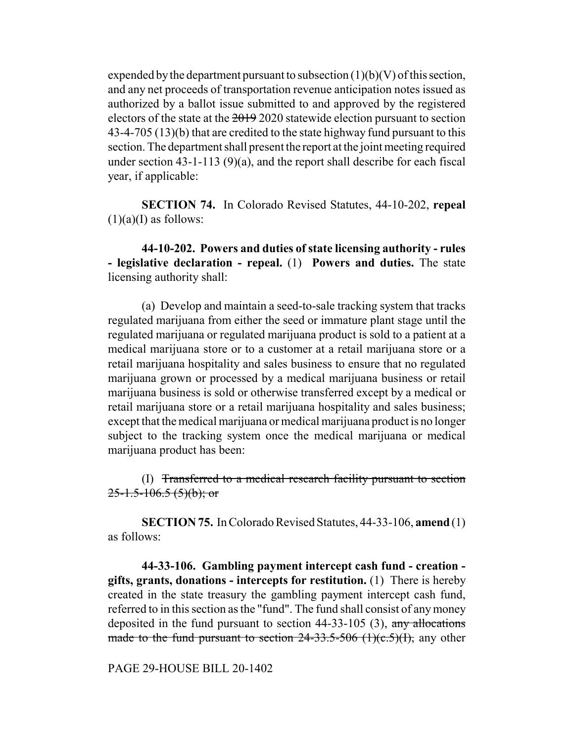expended by the department pursuant to subsection  $(1)(b)(V)$  of this section, and any net proceeds of transportation revenue anticipation notes issued as authorized by a ballot issue submitted to and approved by the registered electors of the state at the 2019 2020 statewide election pursuant to section 43-4-705 (13)(b) that are credited to the state highway fund pursuant to this section. The department shall present the report at the joint meeting required under section 43-1-113 (9)(a), and the report shall describe for each fiscal year, if applicable:

**SECTION 74.** In Colorado Revised Statutes, 44-10-202, **repeal**  $(1)(a)(I)$  as follows:

**44-10-202. Powers and duties of state licensing authority - rules - legislative declaration - repeal.** (1) **Powers and duties.** The state licensing authority shall:

(a) Develop and maintain a seed-to-sale tracking system that tracks regulated marijuana from either the seed or immature plant stage until the regulated marijuana or regulated marijuana product is sold to a patient at a medical marijuana store or to a customer at a retail marijuana store or a retail marijuana hospitality and sales business to ensure that no regulated marijuana grown or processed by a medical marijuana business or retail marijuana business is sold or otherwise transferred except by a medical or retail marijuana store or a retail marijuana hospitality and sales business; except that the medical marijuana or medical marijuana product is no longer subject to the tracking system once the medical marijuana or medical marijuana product has been:

(I) Transferred to a medical research facility pursuant to section  $25-1.5-106.5(5)(b)$ ; or

**SECTION 75.** In Colorado Revised Statutes, 44-33-106, **amend** (1) as follows:

**44-33-106. Gambling payment intercept cash fund - creation gifts, grants, donations - intercepts for restitution.** (1) There is hereby created in the state treasury the gambling payment intercept cash fund, referred to in this section as the "fund". The fund shall consist of any money deposited in the fund pursuant to section  $44-33-105$  (3), any allocations made to the fund pursuant to section  $24-33.5-506$  (1)(e.5)(I), any other

PAGE 29-HOUSE BILL 20-1402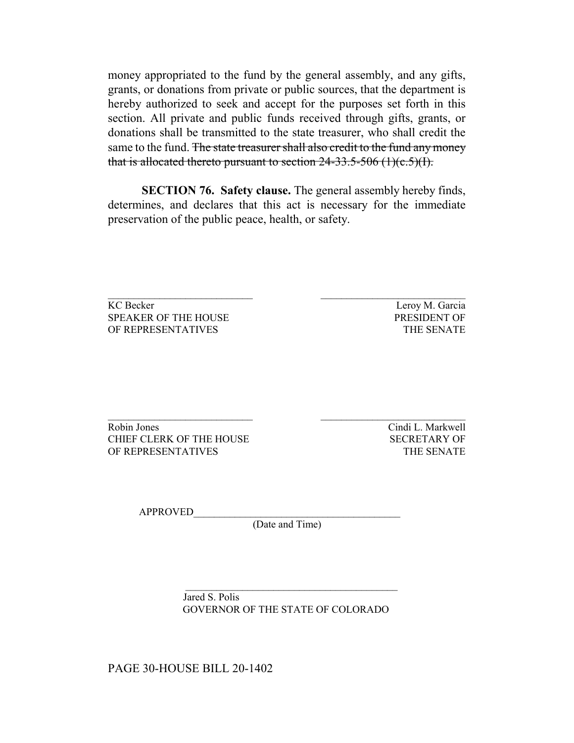money appropriated to the fund by the general assembly, and any gifts, grants, or donations from private or public sources, that the department is hereby authorized to seek and accept for the purposes set forth in this section. All private and public funds received through gifts, grants, or donations shall be transmitted to the state treasurer, who shall credit the same to the fund. The state treasurer shall also credit to the fund any money that is allocated thereto pursuant to section  $24-33.5-506$  (1)(c.5)(I).

**SECTION 76. Safety clause.** The general assembly hereby finds, determines, and declares that this act is necessary for the immediate preservation of the public peace, health, or safety.

 $\mathcal{L}_\text{max}$  and the contract of the contract of the contract of the contract of the contract of the contract of KC Becker Leroy M. Garcia SPEAKER OF THE HOUSE **PRESIDENT OF** OF REPRESENTATIVES THE SENATE

Robin Jones Cindi L. Markwell CHIEF CLERK OF THE HOUSE SECRETARY OF OF REPRESENTATIVES THE SENATE

APPROVED\_\_\_\_\_\_\_\_\_\_\_\_\_\_\_\_\_\_\_\_\_\_\_\_\_\_\_\_\_\_\_\_\_\_\_\_\_\_\_\_

(Date and Time)

 Jared S. Polis GOVERNOR OF THE STATE OF COLORADO

 $\mathcal{L}_\text{max}$  and the contract of the contract of the contract of the contract of the contract of the contract of the contract of the contract of the contract of the contract of the contract of the contract of the contrac

PAGE 30-HOUSE BILL 20-1402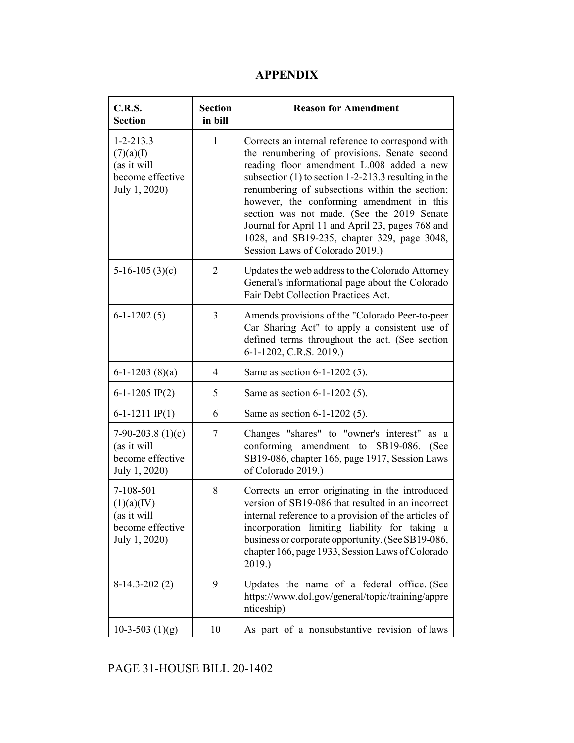## **APPENDIX**

| <b>C.R.S.</b><br><b>Section</b>                                                  | <b>Section</b><br>in bill | <b>Reason for Amendment</b>                                                                                                                                                                                                                                                                                                                                                                                                                                                                 |
|----------------------------------------------------------------------------------|---------------------------|---------------------------------------------------------------------------------------------------------------------------------------------------------------------------------------------------------------------------------------------------------------------------------------------------------------------------------------------------------------------------------------------------------------------------------------------------------------------------------------------|
| $1 - 2 - 213.3$<br>(7)(a)(I)<br>(as it will<br>become effective<br>July 1, 2020) | 1                         | Corrects an internal reference to correspond with<br>the renumbering of provisions. Senate second<br>reading floor amendment L.008 added a new<br>subsection $(1)$ to section 1-2-213.3 resulting in the<br>renumbering of subsections within the section;<br>however, the conforming amendment in this<br>section was not made. (See the 2019 Senate<br>Journal for April 11 and April 23, pages 768 and<br>1028, and SB19-235, chapter 329, page 3048,<br>Session Laws of Colorado 2019.) |
| $5-16-105(3)(c)$                                                                 | $\overline{2}$            | Updates the web address to the Colorado Attorney<br>General's informational page about the Colorado<br>Fair Debt Collection Practices Act.                                                                                                                                                                                                                                                                                                                                                  |
| $6-1-1202(5)$                                                                    | 3                         | Amends provisions of the "Colorado Peer-to-peer<br>Car Sharing Act" to apply a consistent use of<br>defined terms throughout the act. (See section<br>6-1-1202, C.R.S. 2019.)                                                                                                                                                                                                                                                                                                               |
| $6-1-1203(8)(a)$                                                                 | $\overline{4}$            | Same as section 6-1-1202 (5).                                                                                                                                                                                                                                                                                                                                                                                                                                                               |
| 6-1-1205 IP(2)                                                                   | 5                         | Same as section 6-1-1202 (5).                                                                                                                                                                                                                                                                                                                                                                                                                                                               |
| $6-1-1211$ IP(1)                                                                 | 6                         | Same as section 6-1-1202 (5).                                                                                                                                                                                                                                                                                                                                                                                                                                                               |
| 7-90-203.8 $(1)(c)$<br>(as it will<br>become effective<br>July 1, 2020)          | 7                         | Changes "shares" to "owner's interest"<br>as a<br>conforming amendment to<br>SB19-086.<br>(See<br>SB19-086, chapter 166, page 1917, Session Laws<br>of Colorado 2019.)                                                                                                                                                                                                                                                                                                                      |
| 7-108-501<br>(1)(a)(IV)<br>(as it will<br>become effective<br>July 1, 2020)      | 8                         | Corrects an error originating in the introduced<br>version of SB19-086 that resulted in an incorrect<br>internal reference to a provision of the articles of<br>incorporation limiting liability for taking a<br>business or corporate opportunity. (See SB19-086,<br>chapter 166, page 1933, Session Laws of Colorado<br>2019.)                                                                                                                                                            |
| $8-14.3-202(2)$                                                                  | 9                         | Updates the name of a federal office. (See<br>https://www.dol.gov/general/topic/training/appre<br>nticeship)                                                                                                                                                                                                                                                                                                                                                                                |
| $10-3-503$ (1)(g)                                                                | 10                        | As part of a nonsubstantive revision of laws                                                                                                                                                                                                                                                                                                                                                                                                                                                |

# PAGE 31-HOUSE BILL 20-1402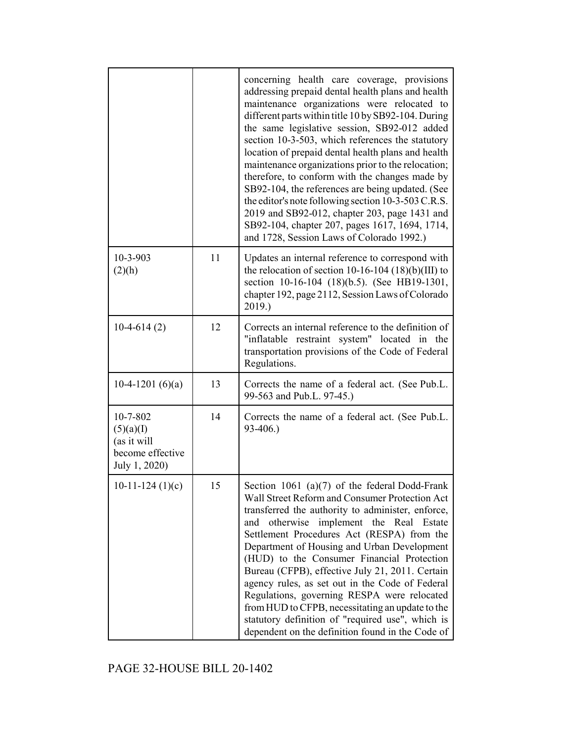|                                                                           |    | concerning health care coverage, provisions<br>addressing prepaid dental health plans and health<br>maintenance organizations were relocated to<br>different parts within title 10 by SB92-104. During<br>the same legislative session, SB92-012 added<br>section 10-3-503, which references the statutory<br>location of prepaid dental health plans and health<br>maintenance organizations prior to the relocation;<br>therefore, to conform with the changes made by<br>SB92-104, the references are being updated. (See<br>the editor's note following section 10-3-503 C.R.S.<br>2019 and SB92-012, chapter 203, page 1431 and<br>SB92-104, chapter 207, pages 1617, 1694, 1714,<br>and 1728, Session Laws of Colorado 1992.) |
|---------------------------------------------------------------------------|----|-------------------------------------------------------------------------------------------------------------------------------------------------------------------------------------------------------------------------------------------------------------------------------------------------------------------------------------------------------------------------------------------------------------------------------------------------------------------------------------------------------------------------------------------------------------------------------------------------------------------------------------------------------------------------------------------------------------------------------------|
| 10-3-903<br>(2)(h)                                                        | 11 | Updates an internal reference to correspond with<br>the relocation of section 10-16-104 $(18)(b)(III)$ to<br>section 10-16-104 (18)(b.5). (See HB19-1301,<br>chapter 192, page 2112, Session Laws of Colorado<br>2019.)                                                                                                                                                                                                                                                                                                                                                                                                                                                                                                             |
| $10-4-614(2)$                                                             | 12 | Corrects an internal reference to the definition of<br>"inflatable restraint system" located in the<br>transportation provisions of the Code of Federal<br>Regulations.                                                                                                                                                                                                                                                                                                                                                                                                                                                                                                                                                             |
| 10-4-1201 $(6)(a)$                                                        | 13 | Corrects the name of a federal act. (See Pub.L.<br>99-563 and Pub.L. 97-45.)                                                                                                                                                                                                                                                                                                                                                                                                                                                                                                                                                                                                                                                        |
| 10-7-802<br>(5)(a)(I)<br>(as it will<br>become effective<br>July 1, 2020) | 14 | Corrects the name of a federal act. (See Pub.L.<br>93-406.)                                                                                                                                                                                                                                                                                                                                                                                                                                                                                                                                                                                                                                                                         |
| $10-11-124(1)(c)$                                                         | 15 | Section 1061 (a) $(7)$ of the federal Dodd-Frank<br>Wall Street Reform and Consumer Protection Act<br>transferred the authority to administer, enforce,<br>otherwise implement the Real Estate<br>and<br>Settlement Procedures Act (RESPA) from the<br>Department of Housing and Urban Development<br>(HUD) to the Consumer Financial Protection<br>Bureau (CFPB), effective July 21, 2011. Certain<br>agency rules, as set out in the Code of Federal<br>Regulations, governing RESPA were relocated<br>from HUD to CFPB, necessitating an update to the<br>statutory definition of "required use", which is<br>dependent on the definition found in the Code of                                                                   |

PAGE 32-HOUSE BILL 20-1402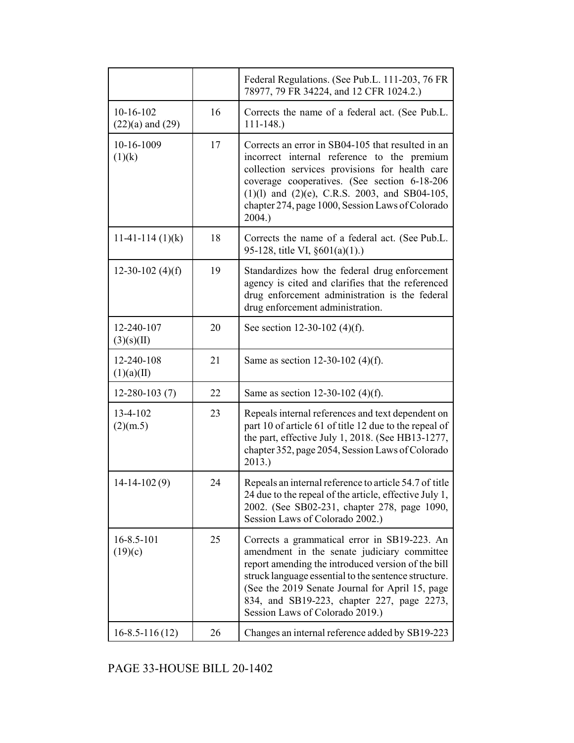|                                     |    | Federal Regulations. (See Pub.L. 111-203, 76 FR<br>78977, 79 FR 34224, and 12 CFR 1024.2.)                                                                                                                                                                                                                                                    |
|-------------------------------------|----|-----------------------------------------------------------------------------------------------------------------------------------------------------------------------------------------------------------------------------------------------------------------------------------------------------------------------------------------------|
| $10-16-102$<br>$(22)(a)$ and $(29)$ | 16 | Corrects the name of a federal act. (See Pub.L.<br>$111 - 148.$                                                                                                                                                                                                                                                                               |
| 10-16-1009<br>(1)(k)                | 17 | Corrects an error in SB04-105 that resulted in an<br>incorrect internal reference to the premium<br>collection services provisions for health care<br>coverage cooperatives. (See section 6-18-206<br>$(1)(1)$ and $(2)(e)$ , C.R.S. 2003, and SB04-105,<br>chapter 274, page 1000, Session Laws of Colorado<br>2004.)                        |
| $11-41-114(1)(k)$                   | 18 | Corrects the name of a federal act. (See Pub.L.<br>95-128, title VI, $\S601(a)(1)$ .)                                                                                                                                                                                                                                                         |
| 12-30-102 $(4)(f)$                  | 19 | Standardizes how the federal drug enforcement<br>agency is cited and clarifies that the referenced<br>drug enforcement administration is the federal<br>drug enforcement administration.                                                                                                                                                      |
| 12-240-107<br>(3)(s)(II)            | 20 | See section 12-30-102 $(4)(f)$ .                                                                                                                                                                                                                                                                                                              |
| 12-240-108<br>(1)(a)(II)            | 21 | Same as section 12-30-102 (4)(f).                                                                                                                                                                                                                                                                                                             |
| $12 - 280 - 103(7)$                 | 22 | Same as section 12-30-102 (4)(f).                                                                                                                                                                                                                                                                                                             |
| 13-4-102<br>(2)(m.5)                | 23 | Repeals internal references and text dependent on<br>part 10 of article 61 of title 12 due to the repeal of<br>the part, effective July 1, 2018. (See HB13-1277,<br>chapter 352, page 2054, Session Laws of Colorado<br>2013.)                                                                                                                |
| $14-14-102(9)$                      | 24 | Repeals an internal reference to article 54.7 of title<br>24 due to the repeal of the article, effective July 1,<br>2002. (See SB02-231, chapter 278, page 1090,<br>Session Laws of Colorado 2002.)                                                                                                                                           |
| $16 - 8.5 - 101$<br>(19)(c)         | 25 | Corrects a grammatical error in SB19-223. An<br>amendment in the senate judiciary committee<br>report amending the introduced version of the bill<br>struck language essential to the sentence structure.<br>(See the 2019 Senate Journal for April 15, page<br>834, and SB19-223, chapter 227, page 2273,<br>Session Laws of Colorado 2019.) |
| $16 - 8.5 - 116(12)$                | 26 | Changes an internal reference added by SB19-223                                                                                                                                                                                                                                                                                               |

PAGE 33-HOUSE BILL 20-1402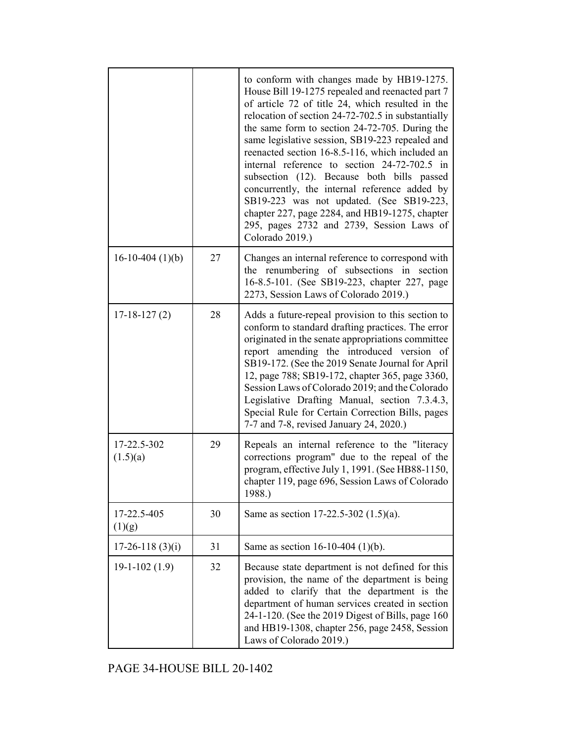|                         |    | to conform with changes made by HB19-1275.<br>House Bill 19-1275 repealed and reenacted part 7<br>of article 72 of title 24, which resulted in the<br>relocation of section 24-72-702.5 in substantially<br>the same form to section 24-72-705. During the<br>same legislative session, SB19-223 repealed and<br>reenacted section 16-8.5-116, which included an<br>internal reference to section 24-72-702.5 in<br>subsection (12). Because both bills passed<br>concurrently, the internal reference added by<br>SB19-223 was not updated. (See SB19-223,<br>chapter 227, page 2284, and HB19-1275, chapter<br>295, pages 2732 and 2739, Session Laws of<br>Colorado 2019.) |
|-------------------------|----|-------------------------------------------------------------------------------------------------------------------------------------------------------------------------------------------------------------------------------------------------------------------------------------------------------------------------------------------------------------------------------------------------------------------------------------------------------------------------------------------------------------------------------------------------------------------------------------------------------------------------------------------------------------------------------|
| $16-10-404(1)(b)$       | 27 | Changes an internal reference to correspond with<br>the renumbering of subsections in section<br>16-8.5-101. (See SB19-223, chapter 227, page<br>2273, Session Laws of Colorado 2019.)                                                                                                                                                                                                                                                                                                                                                                                                                                                                                        |
| $17 - 18 - 127(2)$      | 28 | Adds a future-repeal provision to this section to<br>conform to standard drafting practices. The error<br>originated in the senate appropriations committee<br>report amending the introduced version of<br>SB19-172. (See the 2019 Senate Journal for April<br>12, page 788; SB19-172, chapter 365, page 3360,<br>Session Laws of Colorado 2019; and the Colorado<br>Legislative Drafting Manual, section 7.3.4.3,<br>Special Rule for Certain Correction Bills, pages<br>7-7 and 7-8, revised January 24, 2020.)                                                                                                                                                            |
| 17-22.5-302<br>(1.5)(a) | 29 | Repeals an internal reference to the "literacy<br>corrections program" due to the repeal of the<br>program, effective July 1, 1991. (See HB88-1150,<br>chapter 119, page 696, Session Laws of Colorado<br>1988.)                                                                                                                                                                                                                                                                                                                                                                                                                                                              |
| 17-22.5-405<br>(1)(g)   | 30 | Same as section 17-22.5-302 $(1.5)(a)$ .                                                                                                                                                                                                                                                                                                                                                                                                                                                                                                                                                                                                                                      |
| $17-26-118(3)(i)$       | 31 | Same as section $16-10-404$ (1)(b).                                                                                                                                                                                                                                                                                                                                                                                                                                                                                                                                                                                                                                           |
| $19-1-102(1.9)$         | 32 | Because state department is not defined for this<br>provision, the name of the department is being<br>added to clarify that the department is the<br>department of human services created in section<br>24-1-120. (See the 2019 Digest of Bills, page 160<br>and HB19-1308, chapter 256, page 2458, Session<br>Laws of Colorado 2019.)                                                                                                                                                                                                                                                                                                                                        |

PAGE 34-HOUSE BILL 20-1402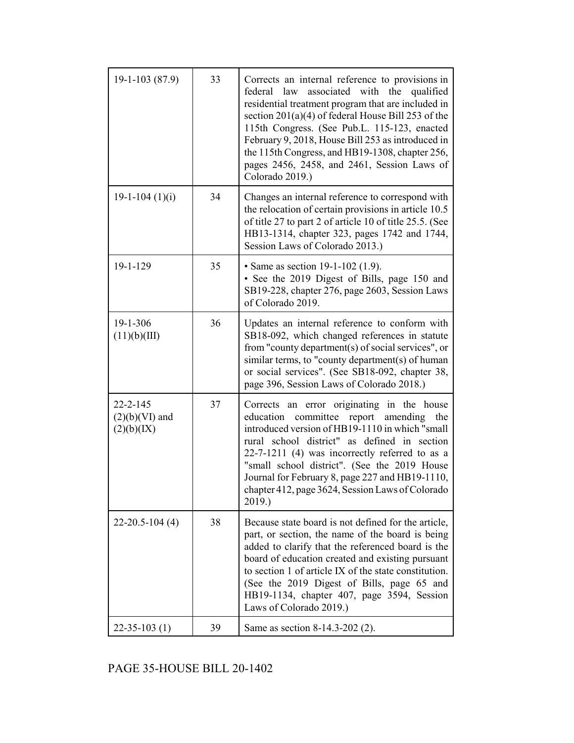| $19-1-103(87.9)$                                 | 33 | Corrects an internal reference to provisions in<br>federal<br>law<br>associated<br>with the<br>qualified<br>residential treatment program that are included in<br>section 201(a)(4) of federal House Bill 253 of the<br>115th Congress. (See Pub.L. 115-123, enacted<br>February 9, 2018, House Bill 253 as introduced in<br>the 115th Congress, and HB19-1308, chapter 256,<br>pages 2456, 2458, and 2461, Session Laws of<br>Colorado 2019.) |
|--------------------------------------------------|----|------------------------------------------------------------------------------------------------------------------------------------------------------------------------------------------------------------------------------------------------------------------------------------------------------------------------------------------------------------------------------------------------------------------------------------------------|
| $19-1-104(1)(i)$                                 | 34 | Changes an internal reference to correspond with<br>the relocation of certain provisions in article 10.5<br>of title 27 to part 2 of article 10 of title 25.5. (See<br>HB13-1314, chapter 323, pages 1742 and 1744,<br>Session Laws of Colorado 2013.)                                                                                                                                                                                         |
| 19-1-129                                         | 35 | • Same as section 19-1-102 (1.9).<br>• See the 2019 Digest of Bills, page 150 and<br>SB19-228, chapter 276, page 2603, Session Laws<br>of Colorado 2019.                                                                                                                                                                                                                                                                                       |
| 19-1-306<br>(11)(b)(III)                         | 36 | Updates an internal reference to conform with<br>SB18-092, which changed references in statute<br>from "county department(s) of social services", or<br>similar terms, to "county department(s) of human<br>or social services". (See SB18-092, chapter 38,<br>page 396, Session Laws of Colorado 2018.)                                                                                                                                       |
| $22 - 2 - 145$<br>$(2)(b)(VI)$ and<br>(2)(b)(IX) | 37 | Corrects an error originating in the house<br>committee report<br>education<br>amending<br>the<br>introduced version of HB19-1110 in which "small<br>rural school district" as defined in section<br>$22-7-1211$ (4) was incorrectly referred to as a<br>"small school district". (See the 2019 House<br>Journal for February 8, page 227 and HB19-1110,<br>chapter 412, page 3624, Session Laws of Colorado<br>2019.)                         |
| $22 - 20.5 - 104(4)$                             | 38 | Because state board is not defined for the article,<br>part, or section, the name of the board is being<br>added to clarify that the referenced board is the<br>board of education created and existing pursuant<br>to section 1 of article IX of the state constitution.<br>(See the 2019 Digest of Bills, page 65 and<br>HB19-1134, chapter 407, page 3594, Session<br>Laws of Colorado 2019.)                                               |
| $22 - 35 - 103(1)$                               | 39 | Same as section 8-14.3-202 (2).                                                                                                                                                                                                                                                                                                                                                                                                                |

PAGE 35-HOUSE BILL 20-1402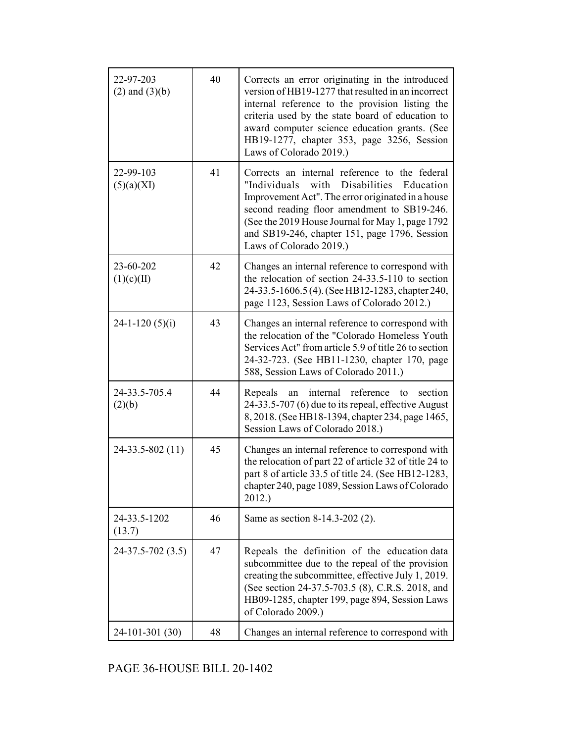| 22-97-203<br>$(2)$ and $(3)(b)$ | 40 | Corrects an error originating in the introduced<br>version of HB19-1277 that resulted in an incorrect<br>internal reference to the provision listing the<br>criteria used by the state board of education to<br>award computer science education grants. (See<br>HB19-1277, chapter 353, page 3256, Session<br>Laws of Colorado 2019.)  |
|---------------------------------|----|-----------------------------------------------------------------------------------------------------------------------------------------------------------------------------------------------------------------------------------------------------------------------------------------------------------------------------------------|
| 22-99-103<br>(5)(a)(XI)         | 41 | Corrects an internal reference to the federal<br>"Individuals<br>Disabilities<br>with<br>Education<br>Improvement Act". The error originated in a house<br>second reading floor amendment to SB19-246.<br>(See the 2019 House Journal for May 1, page 1792)<br>and SB19-246, chapter 151, page 1796, Session<br>Laws of Colorado 2019.) |
| 23-60-202<br>(1)(c)(II)         | 42 | Changes an internal reference to correspond with<br>the relocation of section 24-33.5-110 to section<br>24-33.5-1606.5 (4). (See HB12-1283, chapter 240,<br>page 1123, Session Laws of Colorado 2012.)                                                                                                                                  |
| $24-1-120(5)(i)$                | 43 | Changes an internal reference to correspond with<br>the relocation of the "Colorado Homeless Youth<br>Services Act" from article 5.9 of title 26 to section<br>24-32-723. (See HB11-1230, chapter 170, page<br>588, Session Laws of Colorado 2011.)                                                                                     |
| 24-33.5-705.4<br>(2)(b)         | 44 | reference<br>section<br>Repeals<br>internal<br>an<br>to<br>24-33.5-707 (6) due to its repeal, effective August<br>8, 2018. (See HB18-1394, chapter 234, page 1465,<br>Session Laws of Colorado 2018.)                                                                                                                                   |
| 24-33.5-802 (11)                | 45 | Changes an internal reference to correspond with<br>the relocation of part 22 of article 32 of title 24 to<br>part 8 of article 33.5 of title 24. (See HB12-1283,<br>chapter 240, page 1089, Session Laws of Colorado<br>2012.                                                                                                          |
| 24-33.5-1202<br>(13.7)          | 46 | Same as section 8-14.3-202 (2).                                                                                                                                                                                                                                                                                                         |
| 24-37.5-702 (3.5)               | 47 | Repeals the definition of the education data<br>subcommittee due to the repeal of the provision<br>creating the subcommittee, effective July 1, 2019.<br>(See section 24-37.5-703.5 (8), C.R.S. 2018, and<br>HB09-1285, chapter 199, page 894, Session Laws<br>of Colorado 2009.)                                                       |
| 24-101-301 (30)                 | 48 | Changes an internal reference to correspond with                                                                                                                                                                                                                                                                                        |

PAGE 36-HOUSE BILL 20-1402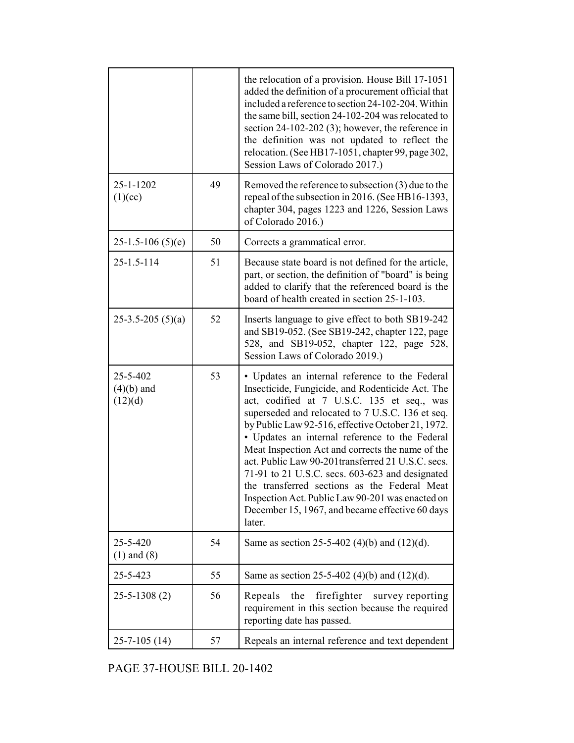|                                     |    | the relocation of a provision. House Bill 17-1051<br>added the definition of a procurement official that<br>included a reference to section 24-102-204. Within<br>the same bill, section 24-102-204 was relocated to<br>section $24-102-202$ (3); however, the reference in<br>the definition was not updated to reflect the<br>relocation. (See HB17-1051, chapter 99, page 302,<br>Session Laws of Colorado 2017.)                                                                                                                                                                                                                      |
|-------------------------------------|----|-------------------------------------------------------------------------------------------------------------------------------------------------------------------------------------------------------------------------------------------------------------------------------------------------------------------------------------------------------------------------------------------------------------------------------------------------------------------------------------------------------------------------------------------------------------------------------------------------------------------------------------------|
| 25-1-1202<br>(1)(cc)                | 49 | Removed the reference to subsection $(3)$ due to the<br>repeal of the subsection in 2016. (See HB16-1393,<br>chapter 304, pages 1223 and 1226, Session Laws<br>of Colorado 2016.)                                                                                                                                                                                                                                                                                                                                                                                                                                                         |
| $25-1.5-106(5)(e)$                  | 50 | Corrects a grammatical error.                                                                                                                                                                                                                                                                                                                                                                                                                                                                                                                                                                                                             |
| $25 - 1.5 - 114$                    | 51 | Because state board is not defined for the article,<br>part, or section, the definition of "board" is being<br>added to clarify that the referenced board is the<br>board of health created in section 25-1-103.                                                                                                                                                                                                                                                                                                                                                                                                                          |
| $25-3.5-205(5)(a)$                  | 52 | Inserts language to give effect to both SB19-242<br>and SB19-052. (See SB19-242, chapter 122, page<br>528, and SB19-052, chapter 122, page 528,<br>Session Laws of Colorado 2019.)                                                                                                                                                                                                                                                                                                                                                                                                                                                        |
| 25-5-402<br>$(4)(b)$ and<br>(12)(d) | 53 | • Updates an internal reference to the Federal<br>Insecticide, Fungicide, and Rodenticide Act. The<br>act, codified at 7 U.S.C. 135 et seq., was<br>superseded and relocated to 7 U.S.C. 136 et seq.<br>by Public Law 92-516, effective October 21, 1972.<br>• Updates an internal reference to the Federal<br>Meat Inspection Act and corrects the name of the<br>act. Public Law 90-201 transferred 21 U.S.C. secs.<br>71-91 to 21 U.S.C. secs. 603-623 and designated<br>the transferred sections as the Federal Meat<br>Inspection Act. Public Law 90-201 was enacted on<br>December 15, 1967, and became effective 60 days<br>later. |
| 25-5-420<br>$(1)$ and $(8)$         | 54 | Same as section 25-5-402 (4)(b) and (12)(d).                                                                                                                                                                                                                                                                                                                                                                                                                                                                                                                                                                                              |
| 25-5-423                            | 55 | Same as section 25-5-402 (4)(b) and (12)(d).                                                                                                                                                                                                                                                                                                                                                                                                                                                                                                                                                                                              |
| $25 - 5 - 1308(2)$                  | 56 | the<br>firefighter<br>Repeals<br>survey reporting<br>requirement in this section because the required<br>reporting date has passed.                                                                                                                                                                                                                                                                                                                                                                                                                                                                                                       |
| $25 - 7 - 105$ (14)                 | 57 | Repeals an internal reference and text dependent                                                                                                                                                                                                                                                                                                                                                                                                                                                                                                                                                                                          |

PAGE 37-HOUSE BILL 20-1402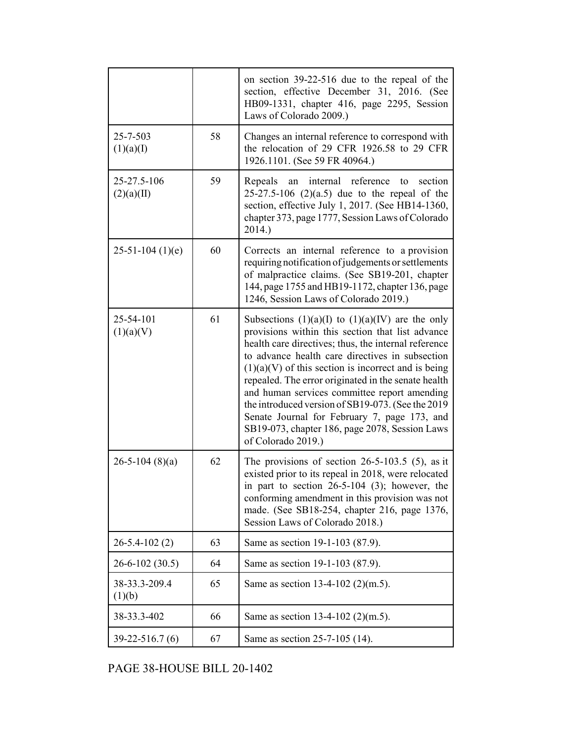|                           |    | on section 39-22-516 due to the repeal of the<br>section, effective December 31, 2016. (See<br>HB09-1331, chapter 416, page 2295, Session<br>Laws of Colorado 2009.)                                                                                                                                                                                                                                                                                                                                                                                             |
|---------------------------|----|------------------------------------------------------------------------------------------------------------------------------------------------------------------------------------------------------------------------------------------------------------------------------------------------------------------------------------------------------------------------------------------------------------------------------------------------------------------------------------------------------------------------------------------------------------------|
| 25-7-503<br>(1)(a)(I)     | 58 | Changes an internal reference to correspond with<br>the relocation of 29 CFR 1926.58 to 29 CFR<br>1926.1101. (See 59 FR 40964.)                                                                                                                                                                                                                                                                                                                                                                                                                                  |
| 25-27.5-106<br>(2)(a)(II) | 59 | section<br>Repeals<br>internal<br>reference<br>an<br>to<br>25-27.5-106 $(2)(a.5)$ due to the repeal of the<br>section, effective July 1, 2017. (See HB14-1360,<br>chapter 373, page 1777, Session Laws of Colorado<br>2014.)                                                                                                                                                                                                                                                                                                                                     |
| $25-51-104(1)(e)$         | 60 | Corrects an internal reference to a provision<br>requiring notification of judgements or settlements<br>of malpractice claims. (See SB19-201, chapter<br>144, page 1755 and HB19-1172, chapter 136, page<br>1246, Session Laws of Colorado 2019.)                                                                                                                                                                                                                                                                                                                |
| 25-54-101<br>(1)(a)(V)    | 61 | Subsections $(1)(a)(I)$ to $(1)(a)(IV)$ are the only<br>provisions within this section that list advance<br>health care directives; thus, the internal reference<br>to advance health care directives in subsection<br>$(1)(a)(V)$ of this section is incorrect and is being<br>repealed. The error originated in the senate health<br>and human services committee report amending<br>the introduced version of SB19-073. (See the 2019<br>Senate Journal for February 7, page 173, and<br>SB19-073, chapter 186, page 2078, Session Laws<br>of Colorado 2019.) |
| $26 - 5 - 104$ (8)(a)     | 62 | The provisions of section $26-5-103.5$ (5), as it<br>existed prior to its repeal in 2018, were relocated<br>in part to section $26-5-104$ (3); however, the<br>conforming amendment in this provision was not<br>made. (See SB18-254, chapter 216, page 1376,<br>Session Laws of Colorado 2018.)                                                                                                                                                                                                                                                                 |
| $26 - 5.4 - 102(2)$       | 63 | Same as section 19-1-103 (87.9).                                                                                                                                                                                                                                                                                                                                                                                                                                                                                                                                 |
| $26 - 6 - 102(30.5)$      | 64 | Same as section 19-1-103 (87.9).                                                                                                                                                                                                                                                                                                                                                                                                                                                                                                                                 |
| 38-33.3-209.4<br>(1)(b)   | 65 | Same as section 13-4-102 (2)(m.5).                                                                                                                                                                                                                                                                                                                                                                                                                                                                                                                               |
| 38-33.3-402               | 66 | Same as section 13-4-102 $(2)(m.5)$ .                                                                                                                                                                                                                                                                                                                                                                                                                                                                                                                            |
| 39-22-516.7 (6)           | 67 | Same as section 25-7-105 (14).                                                                                                                                                                                                                                                                                                                                                                                                                                                                                                                                   |

PAGE 38-HOUSE BILL 20-1402